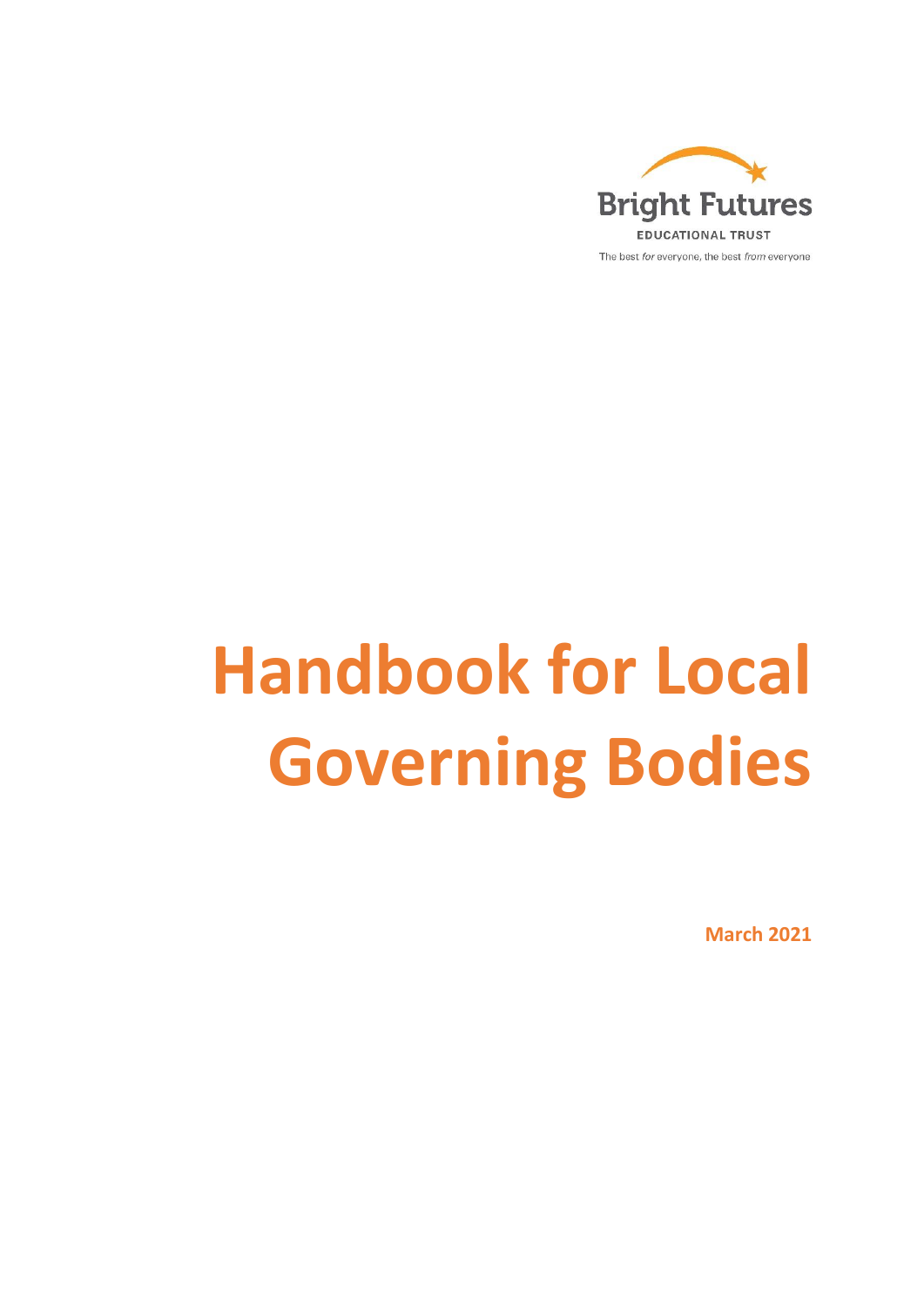

# **Handbook for Local Governing Bodies**

**March 2021**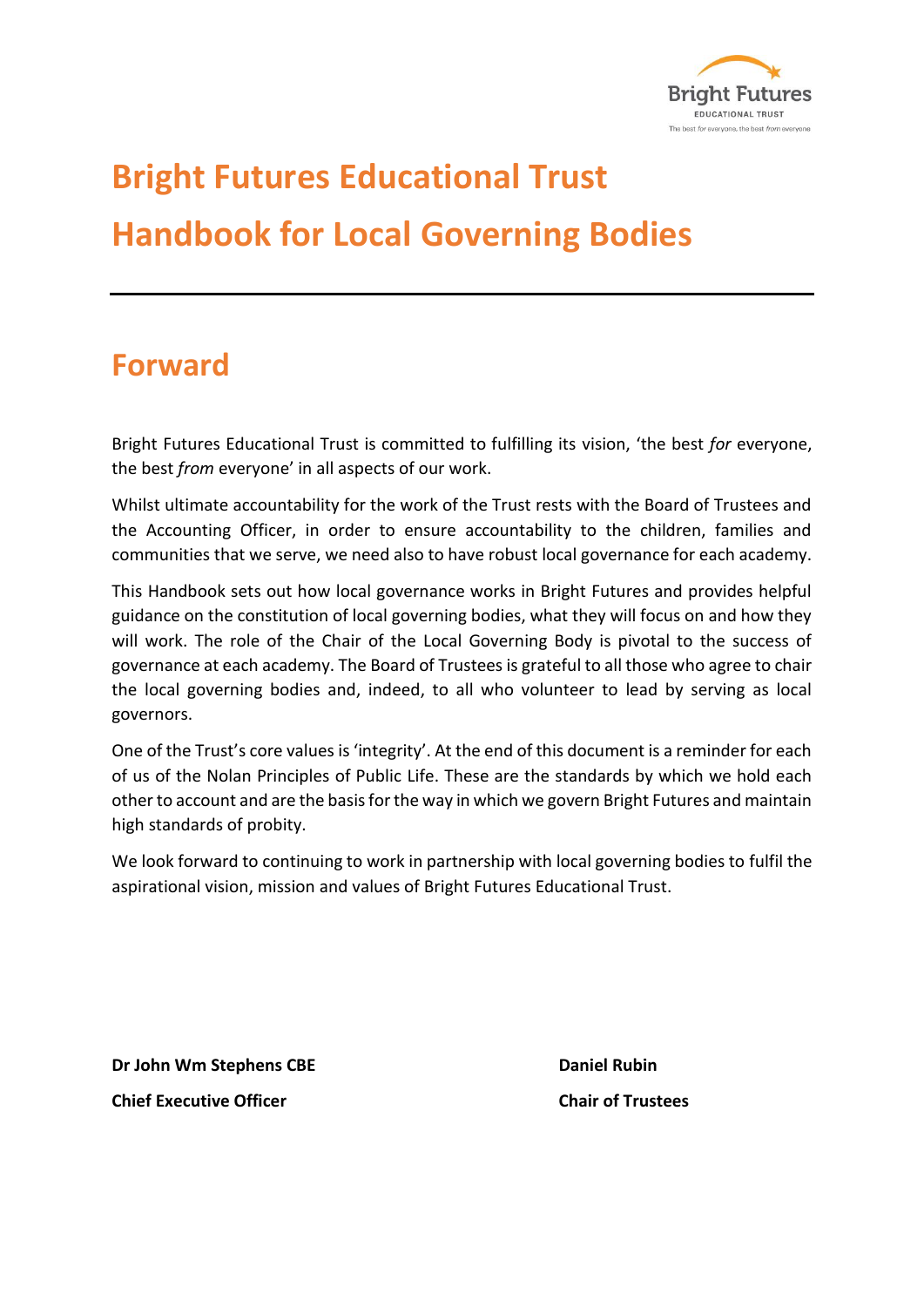

## **Bright Futures Educational Trust Handbook for Local Governing Bodies**

## **Forward**

Bright Futures Educational Trust is committed to fulfilling its vision, 'the best *for* everyone, the best *from* everyone' in all aspects of our work.

Whilst ultimate accountability for the work of the Trust rests with the Board of Trustees and the Accounting Officer, in order to ensure accountability to the children, families and communities that we serve, we need also to have robust local governance for each academy.

This Handbook sets out how local governance works in Bright Futures and provides helpful guidance on the constitution of local governing bodies, what they will focus on and how they will work. The role of the Chair of the Local Governing Body is pivotal to the success of governance at each academy. The Board of Trustees is grateful to all those who agree to chair the local governing bodies and, indeed, to all who volunteer to lead by serving as local governors.

One of the Trust's core values is 'integrity'. At the end of this document is a reminder for each of us of the Nolan Principles of Public Life. These are the standards by which we hold each other to account and are the basis for the way in which we govern Bright Futures and maintain high standards of probity.

We look forward to continuing to work in partnership with local governing bodies to fulfil the aspirational vision, mission and values of Bright Futures Educational Trust.

**Dr John Wm Stephens CBE Daniel Rubin Chief Executive Officer Chair of Trustees**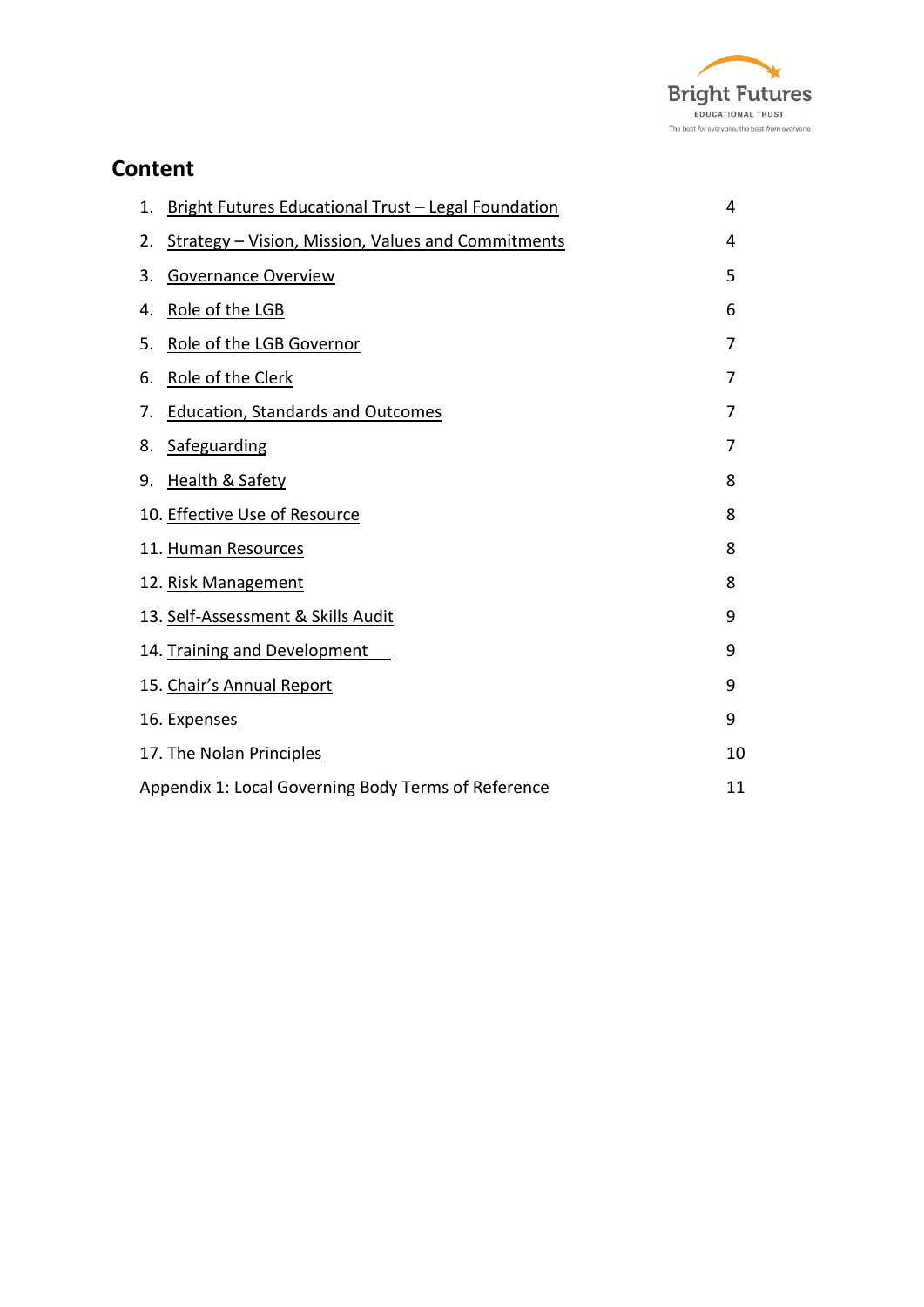

## **Content**

| 1. | Bright Futures Educational Trust - Legal Foundation        | 4  |
|----|------------------------------------------------------------|----|
| 2. | <b>Strategy - Vision, Mission, Values and Commitments</b>  | 4  |
| 3. | <b>Governance Overview</b>                                 | 5  |
| 4. | Role of the LGB                                            | 6  |
| 5. | Role of the LGB Governor                                   | 7  |
| 6. | Role of the Clerk                                          | 7  |
| 7. | <b>Education, Standards and Outcomes</b>                   | 7  |
| 8. | Safeguarding                                               | 7  |
| 9. | Health & Safety                                            | 8  |
|    | 10. Effective Use of Resource                              | 8  |
|    | 11. Human Resources                                        | 8  |
|    | 12. Risk Management                                        | 8  |
|    | 13. Self-Assessment & Skills Audit                         | 9  |
|    | 14. Training and Development                               | 9  |
|    | 15. Chair's Annual Report                                  | 9  |
|    | 16. Expenses                                               | 9  |
|    | 17. The Nolan Principles                                   | 10 |
|    | <b>Appendix 1: Local Governing Body Terms of Reference</b> | 11 |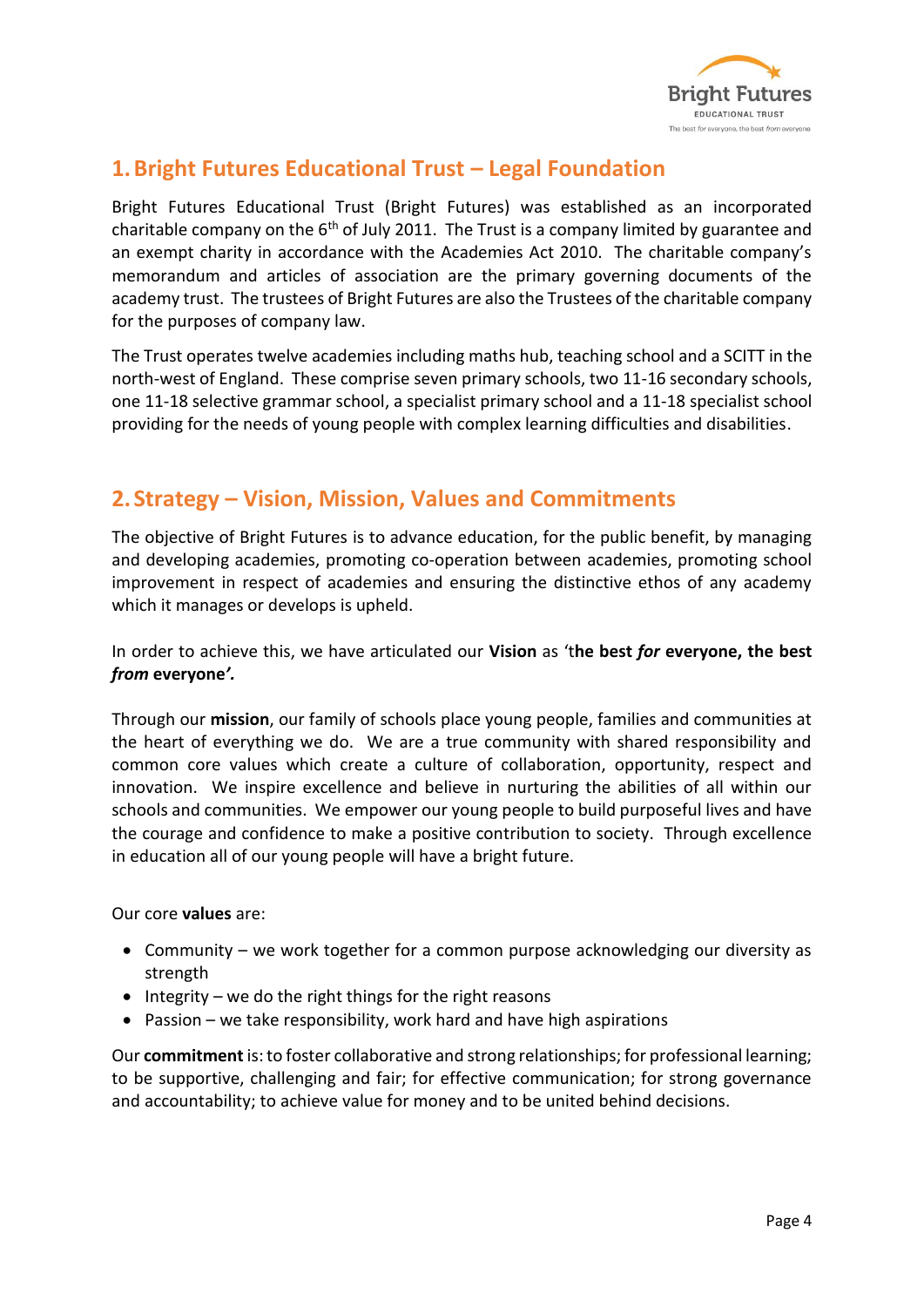

## <span id="page-3-0"></span>**1.Bright Futures Educational Trust – Legal Foundation**

Bright Futures Educational Trust (Bright Futures) was established as an incorporated charitable company on the  $6<sup>th</sup>$  of July 2011. The Trust is a company limited by guarantee and an exempt charity in accordance with the Academies Act 2010. The charitable company's memorandum and articles of association are the primary governing documents of the academy trust. The trustees of Bright Futures are also the Trustees of the charitable company for the purposes of company law.

The Trust operates twelve academies including maths hub, teaching school and a SCITT in the north-west of England. These comprise seven primary schools, two 11-16 secondary schools, one 11-18 selective grammar school, a specialist primary school and a 11-18 specialist school providing for the needs of young people with complex learning difficulties and disabilities.

## <span id="page-3-1"></span>**2.Strategy – Vision, Mission, Values and Commitments**

The objective of Bright Futures is to advance education, for the public benefit, by managing and developing academies, promoting co-operation between academies, promoting school improvement in respect of academies and ensuring the distinctive ethos of any academy which it manages or develops is upheld.

In order to achieve this, we have articulated our **Vision** as 't**he best** *for* **everyone, the best**  *from* **everyone***'.* 

Through our **mission**, our family of schools place young people, families and communities at the heart of everything we do. We are a true community with shared responsibility and common core values which create a culture of collaboration, opportunity, respect and innovation. We inspire excellence and believe in nurturing the abilities of all within our schools and communities. We empower our young people to build purposeful lives and have the courage and confidence to make a positive contribution to society. Through excellence in education all of our young people will have a bright future.

Our core **values** are:

- Community we work together for a common purpose acknowledging our diversity as strength
- Integrity we do the right things for the right reasons
- Passion we take responsibility, work hard and have high aspirations

Our **commitment** is: to foster collaborative and strong relationships; for professional learning; to be supportive, challenging and fair; for effective communication; for strong governance and accountability; to achieve value for money and to be united behind decisions.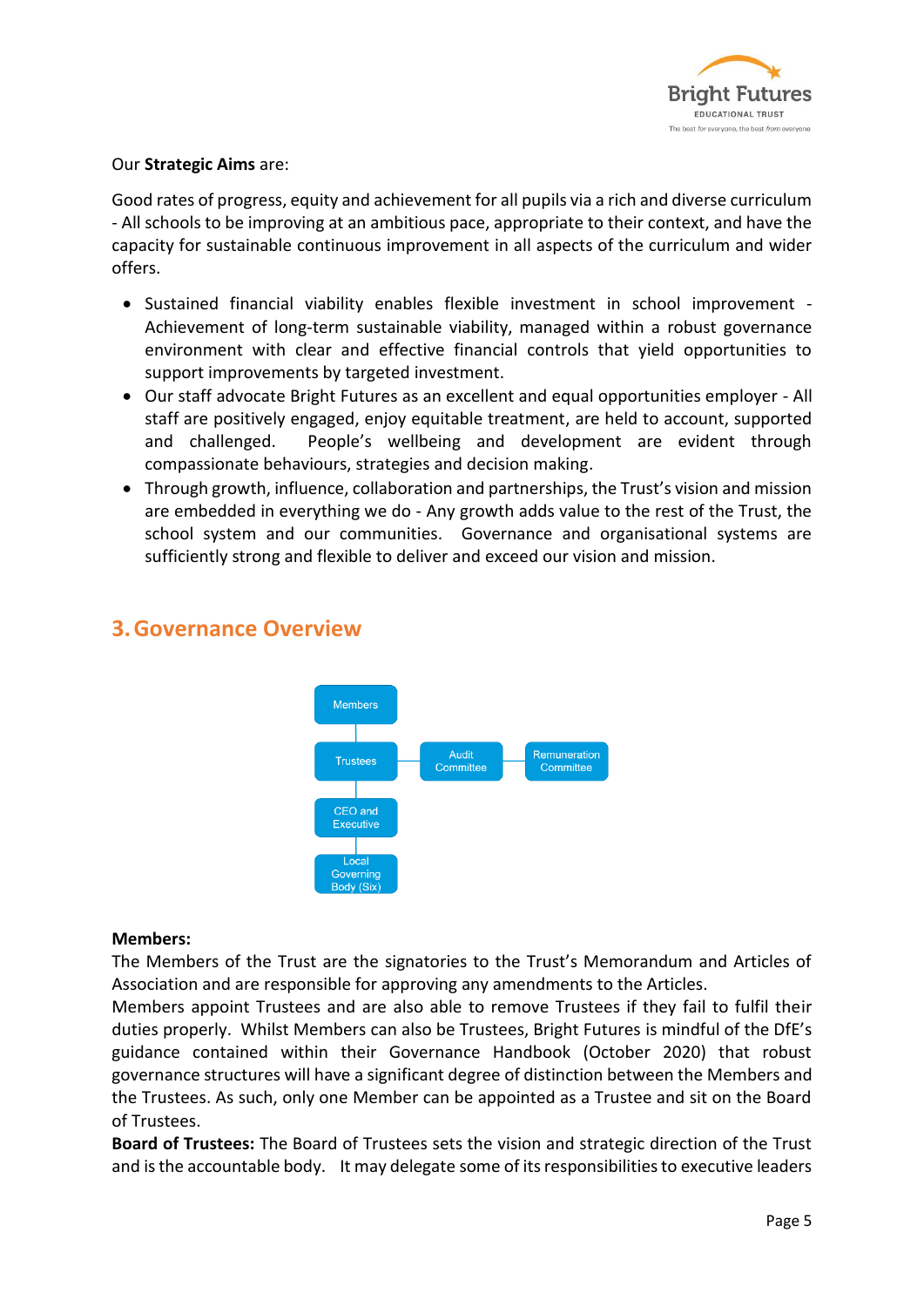

#### Our **Strategic Aims** are:

Good rates of progress, equity and achievement for all pupils via a rich and diverse curriculum - All schools to be improving at an ambitious pace, appropriate to their context, and have the capacity for sustainable continuous improvement in all aspects of the curriculum and wider offers.

- Sustained financial viability enables flexible investment in school improvement Achievement of long-term sustainable viability, managed within a robust governance environment with clear and effective financial controls that yield opportunities to support improvements by targeted investment.
- Our staff advocate Bright Futures as an excellent and equal opportunities employer All staff are positively engaged, enjoy equitable treatment, are held to account, supported and challenged. People's wellbeing and development are evident through compassionate behaviours, strategies and decision making.
- Through growth, influence, collaboration and partnerships, the Trust's vision and mission are embedded in everything we do - Any growth adds value to the rest of the Trust, the school system and our communities. Governance and organisational systems are sufficiently strong and flexible to deliver and exceed our vision and mission.



## <span id="page-4-0"></span>**3.Governance Overview**

#### **Members:**

The Members of the Trust are the signatories to the Trust's Memorandum and Articles of Association and are responsible for approving any amendments to the Articles.

Members appoint Trustees and are also able to remove Trustees if they fail to fulfil their duties properly. Whilst Members can also be Trustees, Bright Futures is mindful of the DfE's guidance contained within their Governance Handbook (October 2020) that robust governance structures will have a significant degree of distinction between the Members and the Trustees. As such, only one Member can be appointed as a Trustee and sit on the Board of Trustees.

**Board of Trustees:** The Board of Trustees sets the vision and strategic direction of the Trust and is the accountable body. It may delegate some of its responsibilities to executive leaders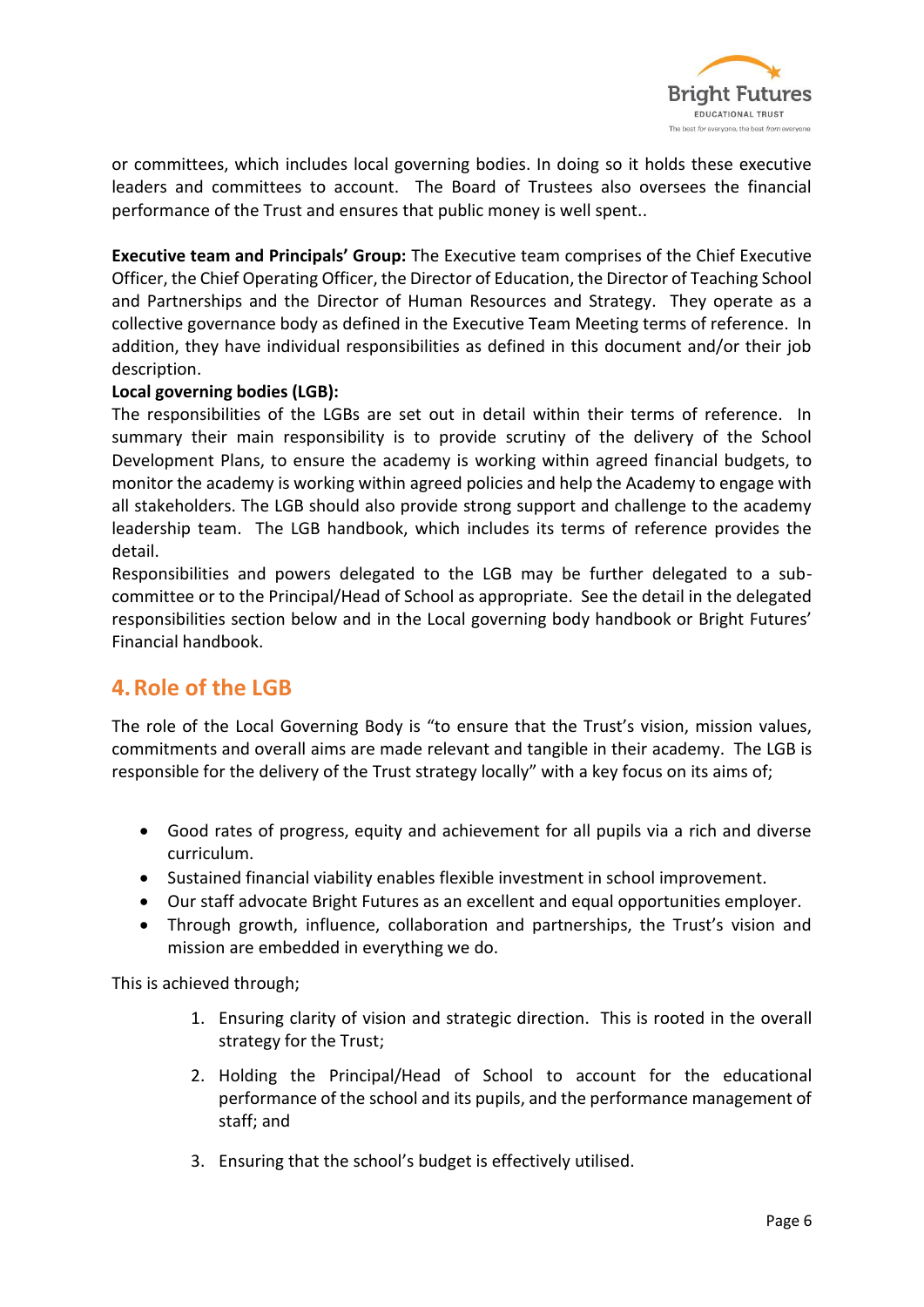

or committees, which includes local governing bodies. In doing so it holds these executive leaders and committees to account. The Board of Trustees also oversees the financial performance of the Trust and ensures that public money is well spent..

**Executive team and Principals' Group:** The Executive team comprises of the Chief Executive Officer, the Chief Operating Officer, the Director of Education, the Director of Teaching School and Partnerships and the Director of Human Resources and Strategy. They operate as a collective governance body as defined in the Executive Team Meeting terms of reference. In addition, they have individual responsibilities as defined in this document and/or their job description.

#### **Local governing bodies (LGB):**

The responsibilities of the LGBs are set out in detail within their terms of reference. In summary their main responsibility is to provide scrutiny of the delivery of the School Development Plans, to ensure the academy is working within agreed financial budgets, to monitor the academy is working within agreed policies and help the Academy to engage with all stakeholders. The LGB should also provide strong support and challenge to the academy leadership team. The LGB handbook, which includes its terms of reference provides the detail.

Responsibilities and powers delegated to the LGB may be further delegated to a subcommittee or to the Principal/Head of School as appropriate. See the detail in the delegated responsibilities section below and in the Local governing body handbook or Bright Futures' Financial handbook.

## <span id="page-5-0"></span>**4.Role of the LGB**

The role of the Local Governing Body is "to ensure that the Trust's vision, mission values, commitments and overall aims are made relevant and tangible in their academy. The LGB is responsible for the delivery of the Trust strategy locally" with a key focus on its aims of;

- Good rates of progress, equity and achievement for all pupils via a rich and diverse curriculum.
- Sustained financial viability enables flexible investment in school improvement.
- Our staff advocate Bright Futures as an excellent and equal opportunities employer.
- Through growth, influence, collaboration and partnerships, the Trust's vision and mission are embedded in everything we do.

This is achieved through;

- 1. Ensuring clarity of vision and strategic direction. This is rooted in the overall strategy for the Trust;
- 2. Holding the Principal/Head of School to account for the educational performance of the school and its pupils, and the performance management of staff; and
- 3. Ensuring that the school's budget is effectively utilised.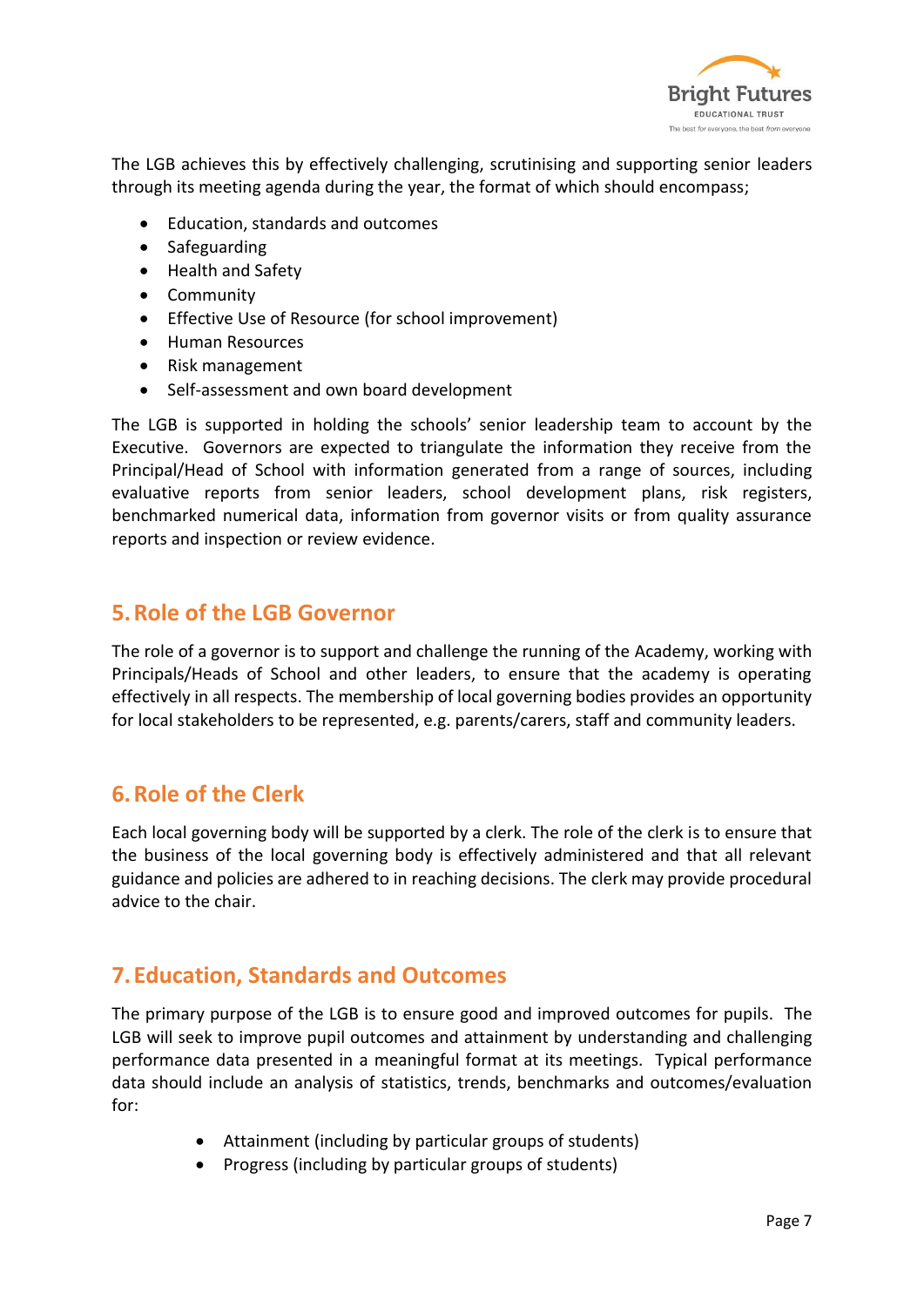

The LGB achieves this by effectively challenging, scrutinising and supporting senior leaders through its meeting agenda during the year, the format of which should encompass;

- Education, standards and outcomes
- Safeguarding
- Health and Safety
- Community
- Effective Use of Resource (for school improvement)
- Human Resources
- Risk management
- Self-assessment and own board development

The LGB is supported in holding the schools' senior leadership team to account by the Executive. Governors are expected to triangulate the information they receive from the Principal/Head of School with information generated from a range of sources, including evaluative reports from senior leaders, school development plans, risk registers, benchmarked numerical data, information from governor visits or from quality assurance reports and inspection or review evidence.

## <span id="page-6-0"></span>**5.Role of the LGB Governor**

The role of a governor is to support and challenge the running of the Academy, working with Principals/Heads of School and other leaders, to ensure that the academy is operating effectively in all respects. The membership of local governing bodies provides an opportunity for local stakeholders to be represented, e.g. parents/carers, staff and community leaders.

## <span id="page-6-1"></span>**6.Role of the Clerk**

Each local governing body will be supported by a clerk. The role of the clerk is to ensure that the business of the local governing body is effectively administered and that all relevant guidance and policies are adhered to in reaching decisions. The clerk may provide procedural advice to the chair.

## <span id="page-6-2"></span>**7.Education, Standards and Outcomes**

The primary purpose of the LGB is to ensure good and improved outcomes for pupils. The LGB will seek to improve pupil outcomes and attainment by understanding and challenging performance data presented in a meaningful format at its meetings. Typical performance data should include an analysis of statistics, trends, benchmarks and outcomes/evaluation for:

- Attainment (including by particular groups of students)
- Progress (including by particular groups of students)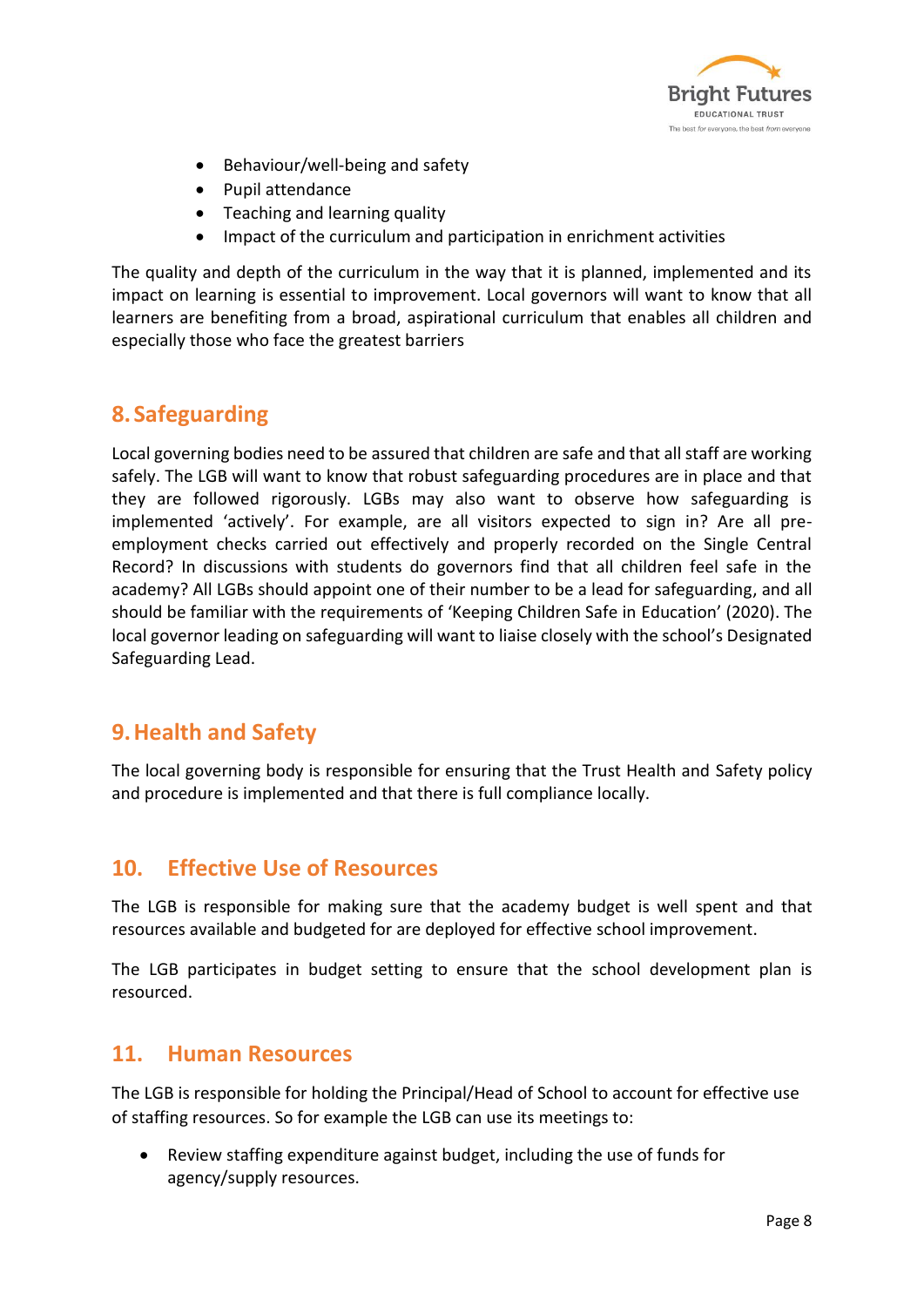

- Behaviour/well-being and safety
- Pupil attendance
- Teaching and learning quality
- Impact of the curriculum and participation in enrichment activities

The quality and depth of the curriculum in the way that it is planned, implemented and its impact on learning is essential to improvement. Local governors will want to know that all learners are benefiting from a broad, aspirational curriculum that enables all children and especially those who face the greatest barriers

## <span id="page-7-0"></span>**8.Safeguarding**

Local governing bodies need to be assured that children are safe and that all staff are working safely. The LGB will want to know that robust safeguarding procedures are in place and that they are followed rigorously. LGBs may also want to observe how safeguarding is implemented 'actively'. For example, are all visitors expected to sign in? Are all preemployment checks carried out effectively and properly recorded on the Single Central Record? In discussions with students do governors find that all children feel safe in the academy? All LGBs should appoint one of their number to be a lead for safeguarding, and all should be familiar with the requirements of 'Keeping Children Safe in Education' (2020). The local governor leading on safeguarding will want to liaise closely with the school's Designated Safeguarding Lead.

## <span id="page-7-1"></span>**9.Health and Safety**

The local governing body is responsible for ensuring that the Trust Health and Safety policy and procedure is implemented and that there is full compliance locally.

### <span id="page-7-2"></span>**10. Effective Use of Resources**

The LGB is responsible for making sure that the academy budget is well spent and that resources available and budgeted for are deployed for effective school improvement.

The LGB participates in budget setting to ensure that the school development plan is resourced.

## <span id="page-7-3"></span>**11. Human Resources**

The LGB is responsible for holding the Principal/Head of School to account for effective use of staffing resources. So for example the LGB can use its meetings to:

• Review staffing expenditure against budget, including the use of funds for agency/supply resources.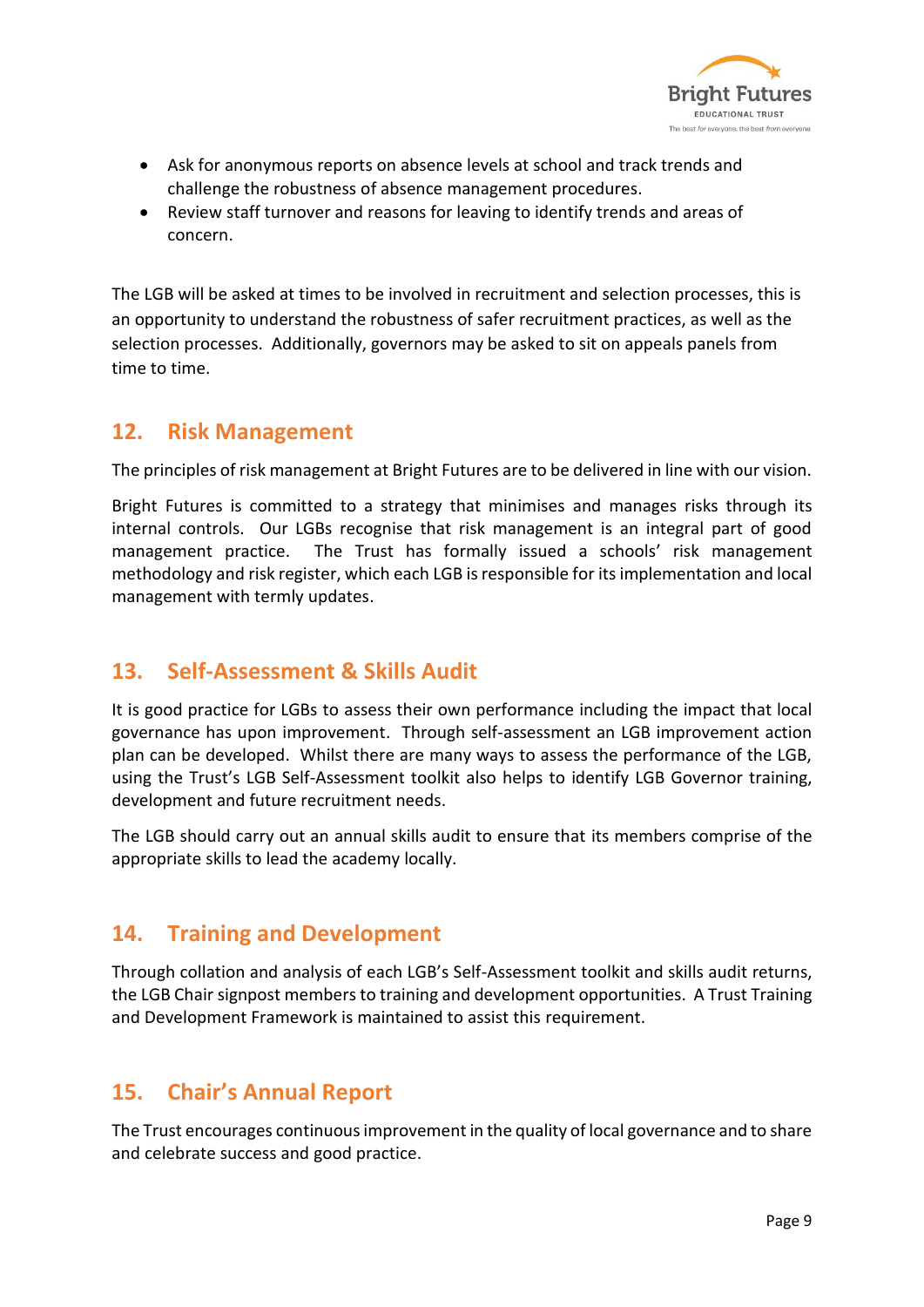

- Ask for anonymous reports on absence levels at school and track trends and challenge the robustness of absence management procedures.
- Review staff turnover and reasons for leaving to identify trends and areas of concern.

The LGB will be asked at times to be involved in recruitment and selection processes, this is an opportunity to understand the robustness of safer recruitment practices, as well as the selection processes. Additionally, governors may be asked to sit on appeals panels from time to time.

## <span id="page-8-0"></span>**12. Risk Management**

The principles of risk management at Bright Futures are to be delivered in line with our vision.

Bright Futures is committed to a strategy that minimises and manages risks through its internal controls. Our LGBs recognise that risk management is an integral part of good management practice. The Trust has formally issued a schools' risk management methodology and risk register, which each LGB isresponsible for its implementation and local management with termly updates.

## <span id="page-8-1"></span>**13. Self-Assessment & Skills Audit**

It is good practice for LGBs to assess their own performance including the impact that local governance has upon improvement. Through self-assessment an LGB improvement action plan can be developed. Whilst there are many ways to assess the performance of the LGB, using the Trust's LGB Self-Assessment toolkit also helps to identify LGB Governor training, development and future recruitment needs.

The LGB should carry out an annual skills audit to ensure that its members comprise of the appropriate skills to lead the academy locally.

## <span id="page-8-2"></span>**14. Training and Development**

Through collation and analysis of each LGB's Self-Assessment toolkit and skills audit returns, the LGB Chair signpost members to training and development opportunities. A Trust Training and Development Framework is maintained to assist this requirement.

## <span id="page-8-3"></span>**15. Chair's Annual Report**

The Trust encourages continuous improvement in the quality of local governance and to share and celebrate success and good practice.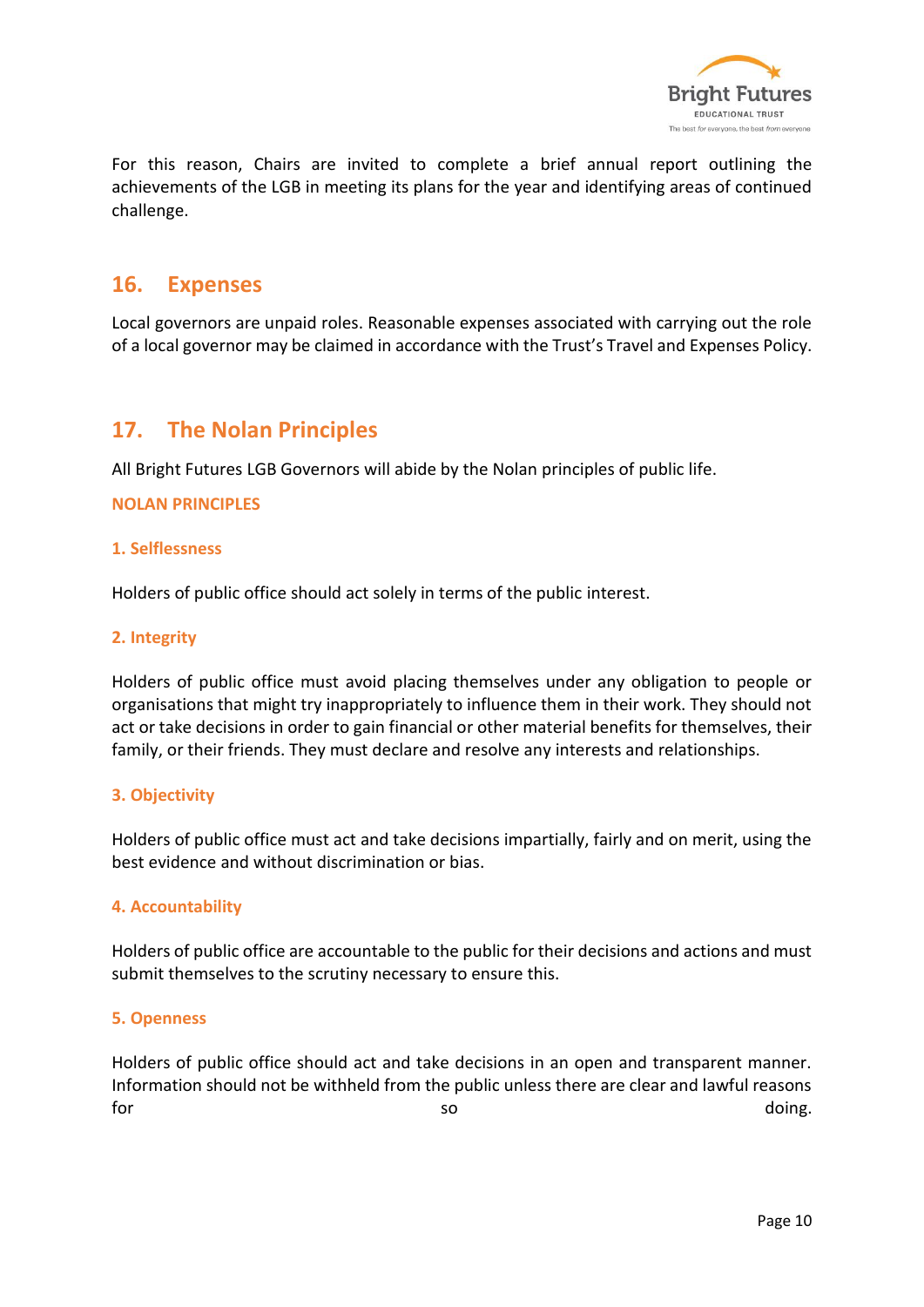

For this reason, Chairs are invited to complete a brief annual report outlining the achievements of the LGB in meeting its plans for the year and identifying areas of continued challenge.

## <span id="page-9-0"></span>**16. Expenses**

Local governors are unpaid roles. Reasonable expenses associated with carrying out the role of a local governor may be claimed in accordance with the Trust's Travel and Expenses Policy.

## <span id="page-9-1"></span>**17. The Nolan Principles**

All Bright Futures LGB Governors will abide by the Nolan principles of public life.

#### **NOLAN PRINCIPLES**

#### **1. Selflessness**

Holders of public office should act solely in terms of the public interest.

#### **2. Integrity**

Holders of public office must avoid placing themselves under any obligation to people or organisations that might try inappropriately to influence them in their work. They should not act or take decisions in order to gain financial or other material benefits for themselves, their family, or their friends. They must declare and resolve any interests and relationships.

#### **3. Objectivity**

Holders of public office must act and take decisions impartially, fairly and on merit, using the best evidence and without discrimination or bias.

#### **4. Accountability**

Holders of public office are accountable to the public for their decisions and actions and must submit themselves to the scrutiny necessary to ensure this.

#### **5. Openness**

Holders of public office should act and take decisions in an open and transparent manner. Information should not be withheld from the public unless there are clear and lawful reasons for the source of the source of the source of the source of the source of the source of the source of the source of the source of the source of the source of the source of the source of the source of the source of the sour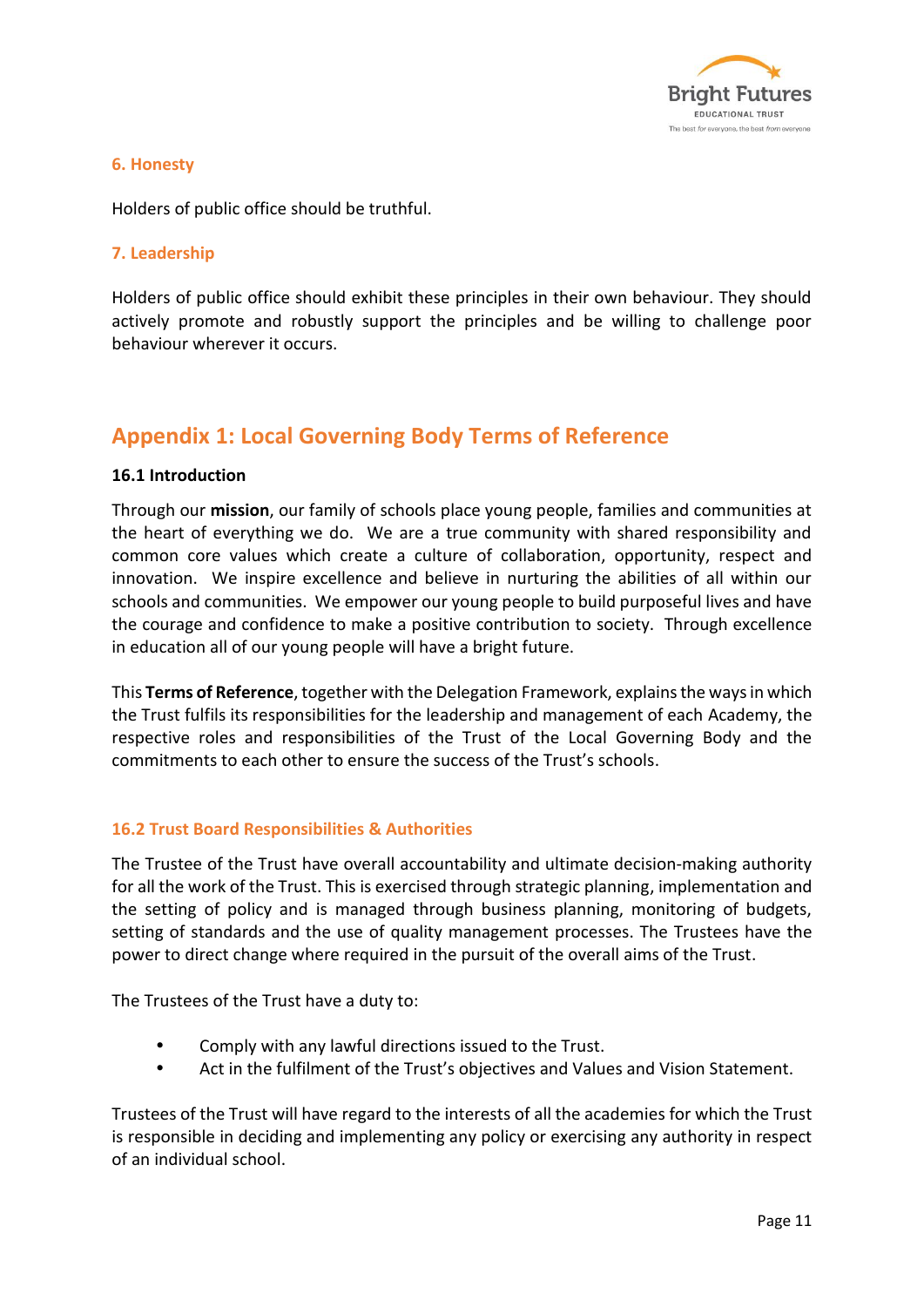

#### **6. Honesty**

Holders of public office should be truthful.

#### **7. Leadership**

Holders of public office should exhibit these principles in their own behaviour. They should actively promote and robustly support the principles and be willing to challenge poor behaviour wherever it occurs.

## <span id="page-10-0"></span>**Appendix 1: Local Governing Body Terms of Reference**

#### **16.1 Introduction**

Through our **mission**, our family of schools place young people, families and communities at the heart of everything we do. We are a true community with shared responsibility and common core values which create a culture of collaboration, opportunity, respect and innovation. We inspire excellence and believe in nurturing the abilities of all within our schools and communities. We empower our young people to build purposeful lives and have the courage and confidence to make a positive contribution to society. Through excellence in education all of our young people will have a bright future.

This **Terms of Reference**, together with the Delegation Framework, explains the ways in which the Trust fulfils its responsibilities for the leadership and management of each Academy, the respective roles and responsibilities of the Trust of the Local Governing Body and the commitments to each other to ensure the success of the Trust's schools.

#### **16.2 Trust Board Responsibilities & Authorities**

The Trustee of the Trust have overall accountability and ultimate decision-making authority for all the work of the Trust. This is exercised through strategic planning, implementation and the setting of policy and is managed through business planning, monitoring of budgets, setting of standards and the use of quality management processes. The Trustees have the power to direct change where required in the pursuit of the overall aims of the Trust.

The Trustees of the Trust have a duty to:

- Comply with any lawful directions issued to the Trust.
- Act in the fulfilment of the Trust's objectives and Values and Vision Statement.

Trustees of the Trust will have regard to the interests of all the academies for which the Trust is responsible in deciding and implementing any policy or exercising any authority in respect of an individual school.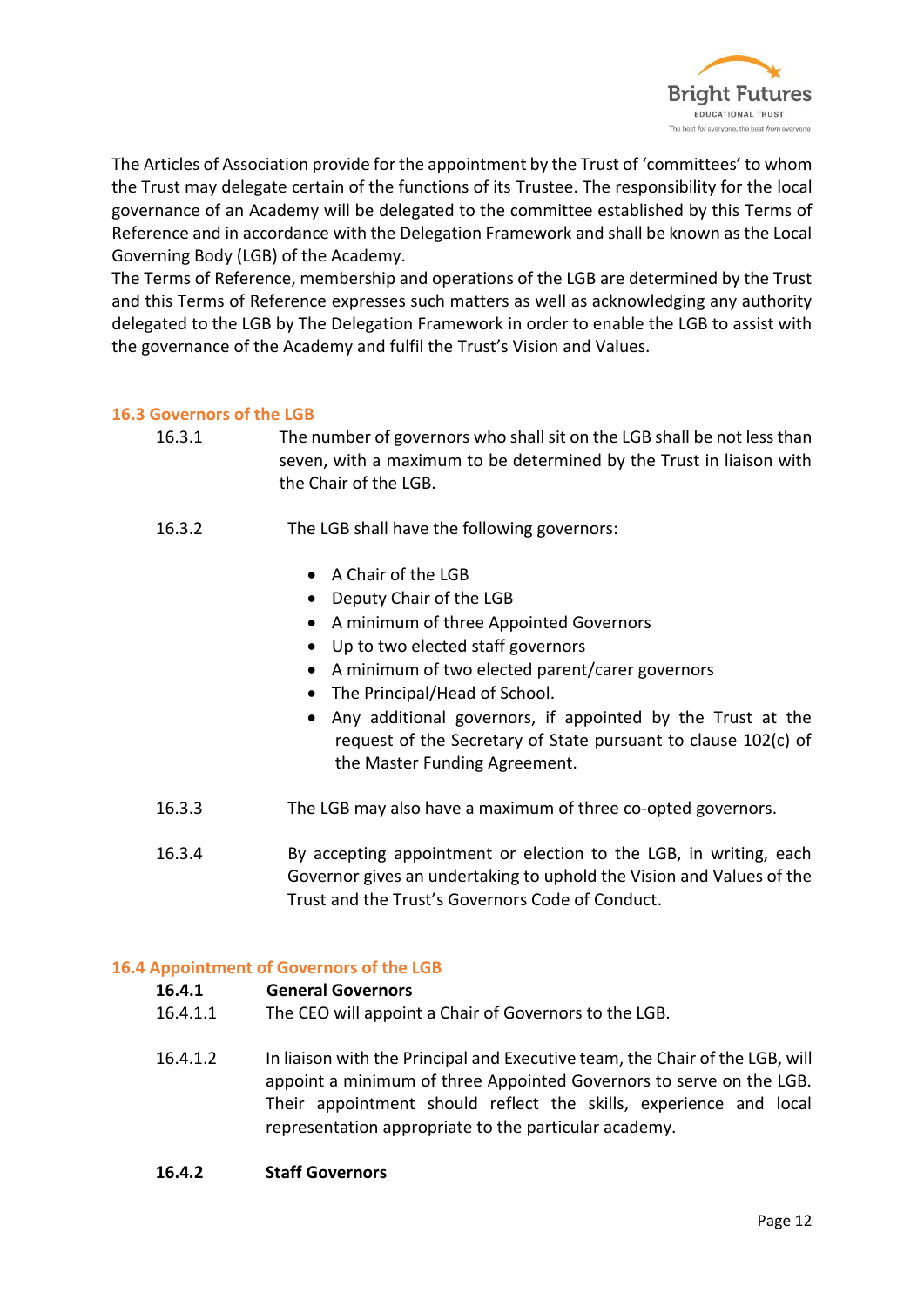

The Articles of Association provide for the appointment by the Trust of 'committees' to whom the Trust may delegate certain of the functions of its Trustee. The responsibility for the local governance of an Academy will be delegated to the committee established by this Terms of Reference and in accordance with the Delegation Framework and shall be known as the Local Governing Body (LGB) of the Academy.

The Terms of Reference, membership and operations of the LGB are determined by the Trust and this Terms of Reference expresses such matters as well as acknowledging any authority delegated to the LGB by The Delegation Framework in order to enable the LGB to assist with the governance of the Academy and fulfil the Trust's Vision and Values.

#### **16.3 Governors of the LGB**

- 16.3.1 The number of governors who shall sit on the LGB shall be not less than seven, with a maximum to be determined by the Trust in liaison with the Chair of the LGB.
- 16.3.2 The LGB shall have the following governors:
	- A Chair of the LGB
	- Deputy Chair of the LGB
	- A minimum of three Appointed Governors
	- Up to two elected staff governors
	- A minimum of two elected parent/carer governors
	- The Principal/Head of School.
	- Any additional governors, if appointed by the Trust at the request of the Secretary of State pursuant to clause 102(c) of the Master Funding Agreement.
- 16.3.3 The LGB may also have a maximum of three co-opted governors.
- 16.3.4 By accepting appointment or election to the LGB, in writing, each Governor gives an undertaking to uphold the Vision and Values of the Trust and the Trust's Governors Code of Conduct.

#### **16.4 Appointment of Governors of the LGB**

#### **16.4.1 General Governors**

- 16.4.1.1 The CEO will appoint a Chair of Governors to the LGB.
- 16.4.1.2 In liaison with the Principal and Executive team, the Chair of the LGB, will appoint a minimum of three Appointed Governors to serve on the LGB. Their appointment should reflect the skills, experience and local representation appropriate to the particular academy.
- **16.4.2 Staff Governors**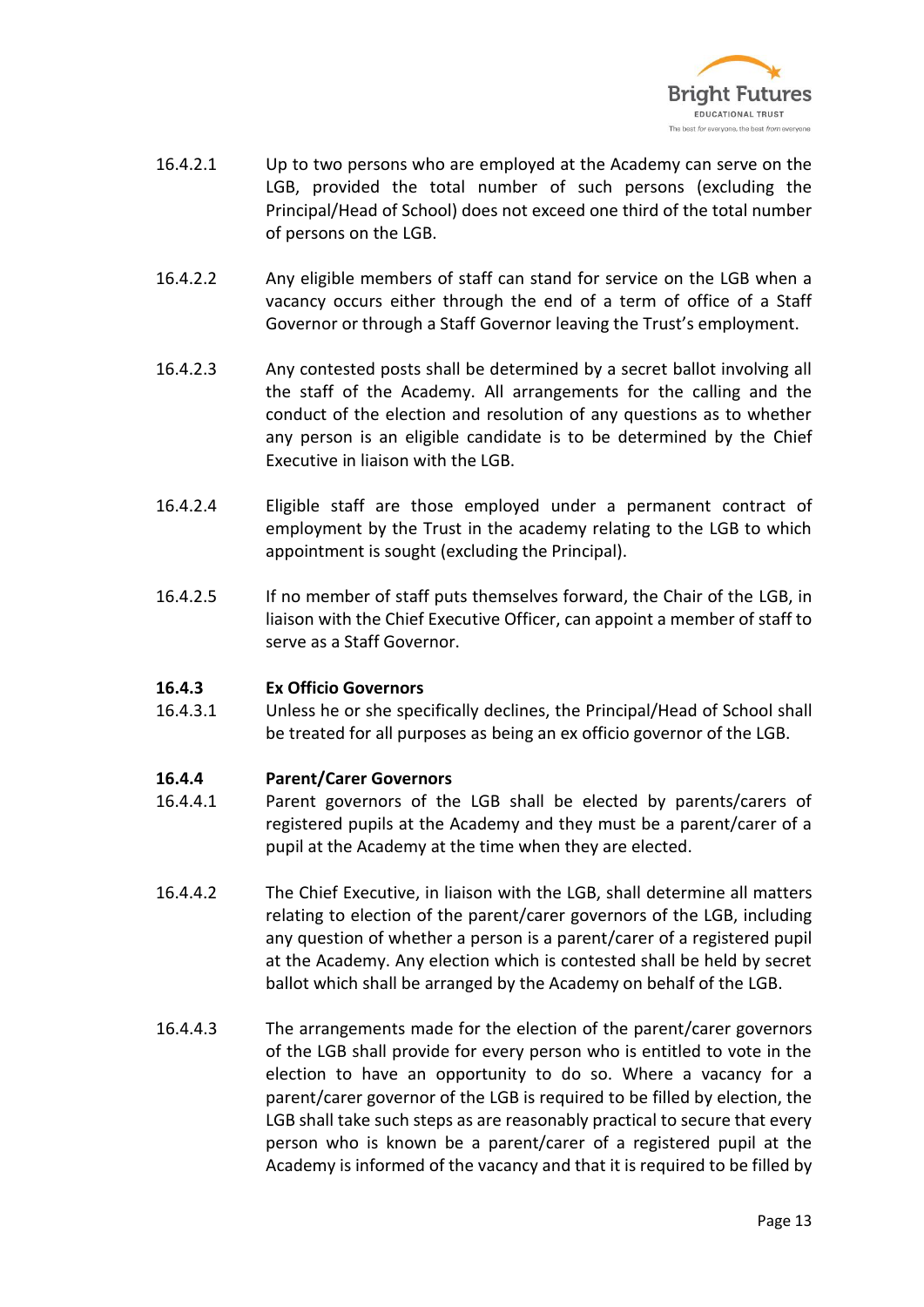

- 16.4.2.1 Up to two persons who are employed at the Academy can serve on the LGB, provided the total number of such persons (excluding the Principal/Head of School) does not exceed one third of the total number of persons on the LGB.
- 16.4.2.2 Any eligible members of staff can stand for service on the LGB when a vacancy occurs either through the end of a term of office of a Staff Governor or through a Staff Governor leaving the Trust's employment.
- 16.4.2.3 Any contested posts shall be determined by a secret ballot involving all the staff of the Academy. All arrangements for the calling and the conduct of the election and resolution of any questions as to whether any person is an eligible candidate is to be determined by the Chief Executive in liaison with the LGB.
- 16.4.2.4 Eligible staff are those employed under a permanent contract of employment by the Trust in the academy relating to the LGB to which appointment is sought (excluding the Principal).
- 16.4.2.5 If no member of staff puts themselves forward, the Chair of the LGB, in liaison with the Chief Executive Officer, can appoint a member of staff to serve as a Staff Governor.

#### **16.4.3 Ex Officio Governors**

16.4.3.1 Unless he or she specifically declines, the Principal/Head of School shall be treated for all purposes as being an ex officio governor of the LGB.

#### **16.4.4 Parent/Carer Governors**

- 16.4.4.1 Parent governors of the LGB shall be elected by parents/carers of registered pupils at the Academy and they must be a parent/carer of a pupil at the Academy at the time when they are elected.
- 16.4.4.2 The Chief Executive, in liaison with the LGB, shall determine all matters relating to election of the parent/carer governors of the LGB, including any question of whether a person is a parent/carer of a registered pupil at the Academy. Any election which is contested shall be held by secret ballot which shall be arranged by the Academy on behalf of the LGB.
- 16.4.4.3 The arrangements made for the election of the parent/carer governors of the LGB shall provide for every person who is entitled to vote in the election to have an opportunity to do so. Where a vacancy for a parent/carer governor of the LGB is required to be filled by election, the LGB shall take such steps as are reasonably practical to secure that every person who is known be a parent/carer of a registered pupil at the Academy is informed of the vacancy and that it is required to be filled by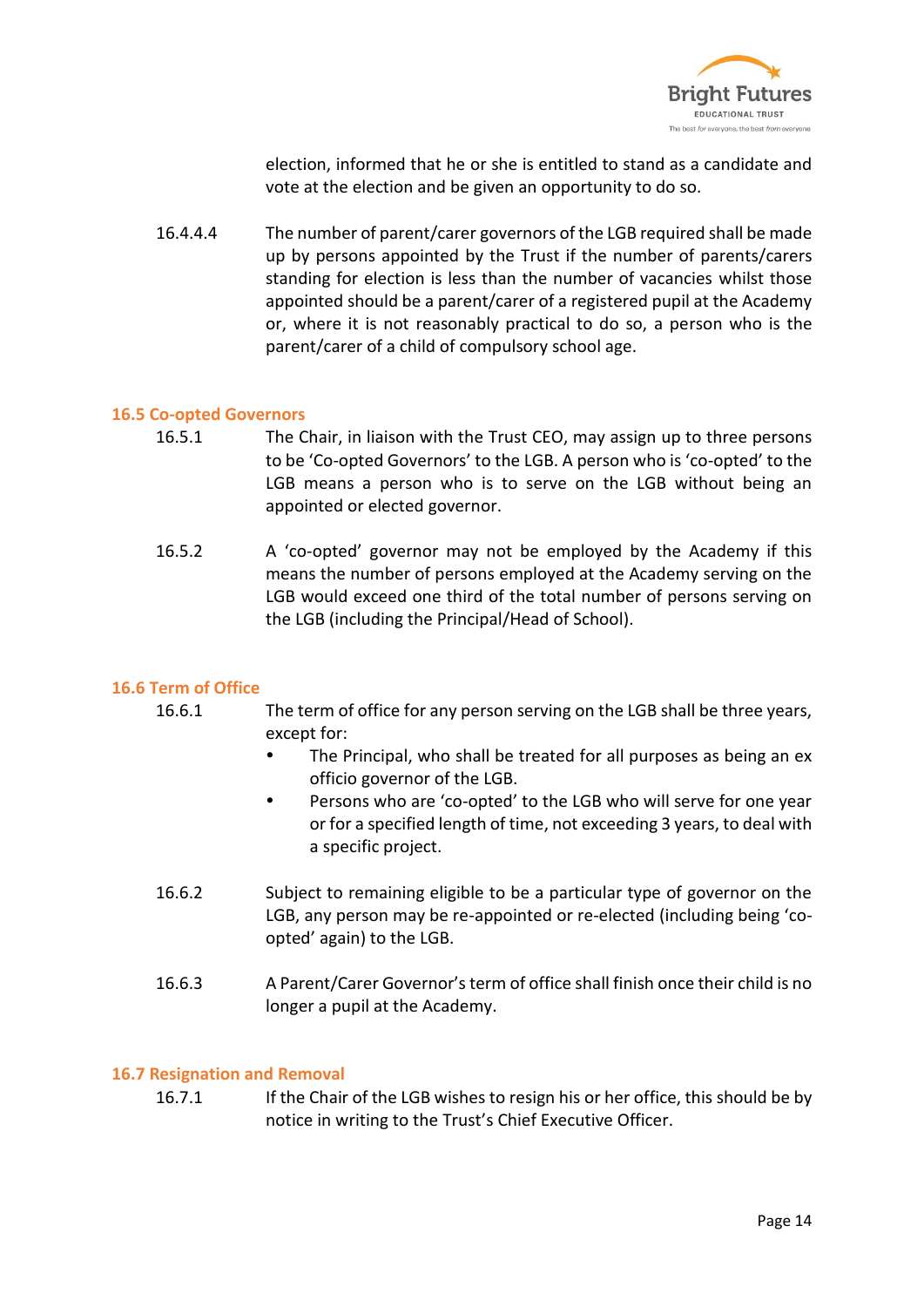

election, informed that he or she is entitled to stand as a candidate and vote at the election and be given an opportunity to do so.

16.4.4.4 The number of parent/carer governors of the LGB required shall be made up by persons appointed by the Trust if the number of parents/carers standing for election is less than the number of vacancies whilst those appointed should be a parent/carer of a registered pupil at the Academy or, where it is not reasonably practical to do so, a person who is the parent/carer of a child of compulsory school age.

#### **16.5 Co-opted Governors**

- 16.5.1 The Chair, in liaison with the Trust CEO, may assign up to three persons to be 'Co-opted Governors' to the LGB. A person who is 'co-opted' to the LGB means a person who is to serve on the LGB without being an appointed or elected governor.
- 16.5.2 A 'co-opted' governor may not be employed by the Academy if this means the number of persons employed at the Academy serving on the LGB would exceed one third of the total number of persons serving on the LGB (including the Principal/Head of School).

#### **16.6 Term of Office**

- 16.6.1 The term of office for any person serving on the LGB shall be three years, except for:
	- The Principal, who shall be treated for all purposes as being an ex officio governor of the LGB.
	- Persons who are 'co-opted' to the LGB who will serve for one year or for a specified length of time, not exceeding 3 years, to deal with a specific project.
- 16.6.2 Subject to remaining eligible to be a particular type of governor on the LGB, any person may be re-appointed or re-elected (including being 'coopted' again) to the LGB.
- 16.6.3 A Parent/Carer Governor's term of office shall finish once their child is no longer a pupil at the Academy.

#### **16.7 Resignation and Removal**

16.7.1 If the Chair of the LGB wishes to resign his or her office, this should be by notice in writing to the Trust's Chief Executive Officer.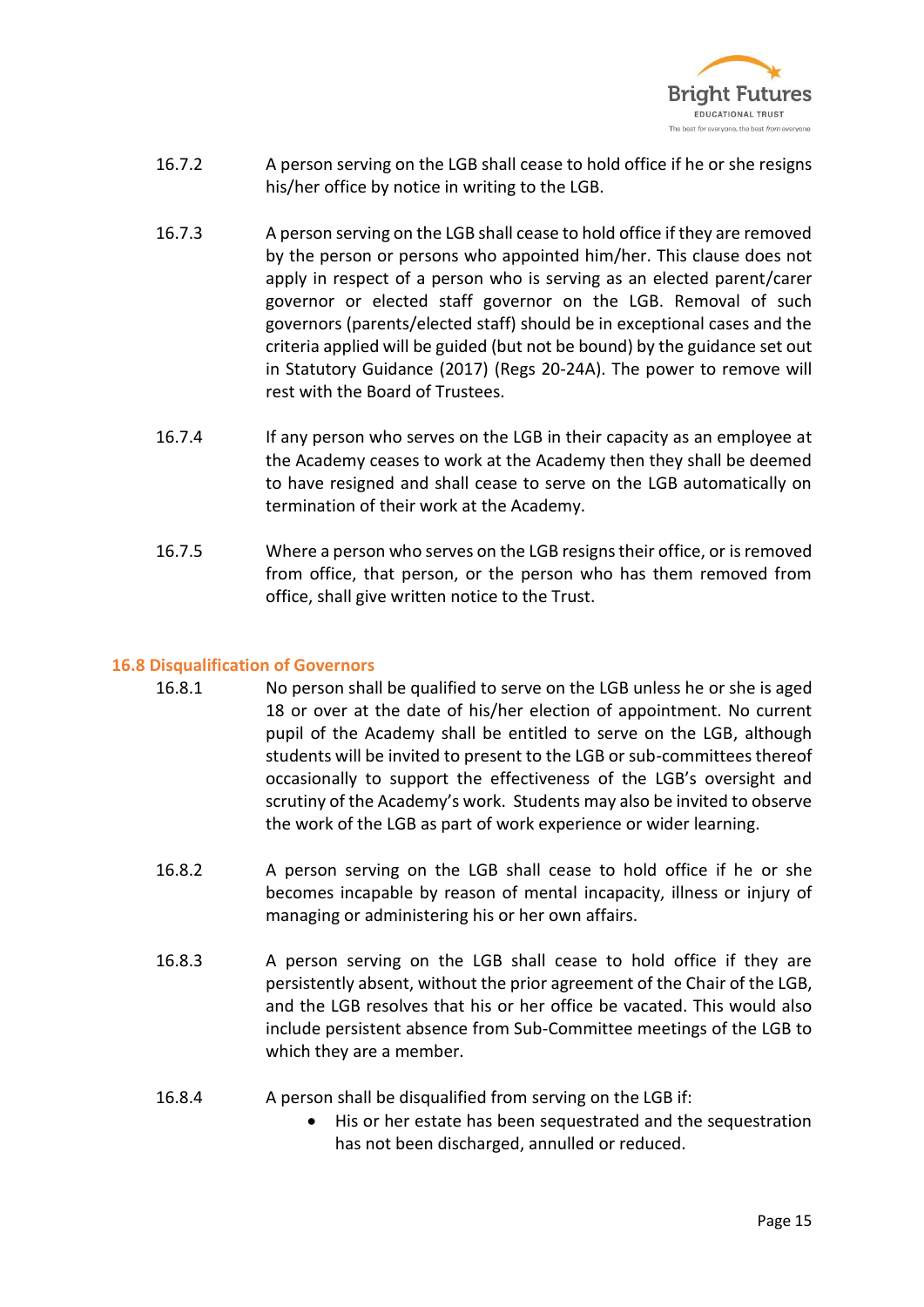

- 16.7.2 A person serving on the LGB shall cease to hold office if he or she resigns his/her office by notice in writing to the LGB.
- 16.7.3 A person serving on the LGB shall cease to hold office if they are removed by the person or persons who appointed him/her. This clause does not apply in respect of a person who is serving as an elected parent/carer governor or elected staff governor on the LGB. Removal of such governors (parents/elected staff) should be in exceptional cases and the criteria applied will be guided (but not be bound) by the guidance set out in Statutory Guidance (2017) (Regs 20-24A). The power to remove will rest with the Board of Trustees.
- 16.7.4 If any person who serves on the LGB in their capacity as an employee at the Academy ceases to work at the Academy then they shall be deemed to have resigned and shall cease to serve on the LGB automatically on termination of their work at the Academy.
- 16.7.5 Where a person who serves on the LGB resigns their office, or is removed from office, that person, or the person who has them removed from office, shall give written notice to the Trust.

#### **16.8 Disqualification of Governors**

- 16.8.1 No person shall be qualified to serve on the LGB unless he or she is aged 18 or over at the date of his/her election of appointment. No current pupil of the Academy shall be entitled to serve on the LGB, although students will be invited to present to the LGB or sub-committees thereof occasionally to support the effectiveness of the LGB's oversight and scrutiny of the Academy's work. Students may also be invited to observe the work of the LGB as part of work experience or wider learning.
- 16.8.2 A person serving on the LGB shall cease to hold office if he or she becomes incapable by reason of mental incapacity, illness or injury of managing or administering his or her own affairs.
- 16.8.3 A person serving on the LGB shall cease to hold office if they are persistently absent, without the prior agreement of the Chair of the LGB, and the LGB resolves that his or her office be vacated. This would also include persistent absence from Sub-Committee meetings of the LGB to which they are a member.
- 16.8.4 A person shall be disqualified from serving on the LGB if:
	- His or her estate has been sequestrated and the sequestration has not been discharged, annulled or reduced.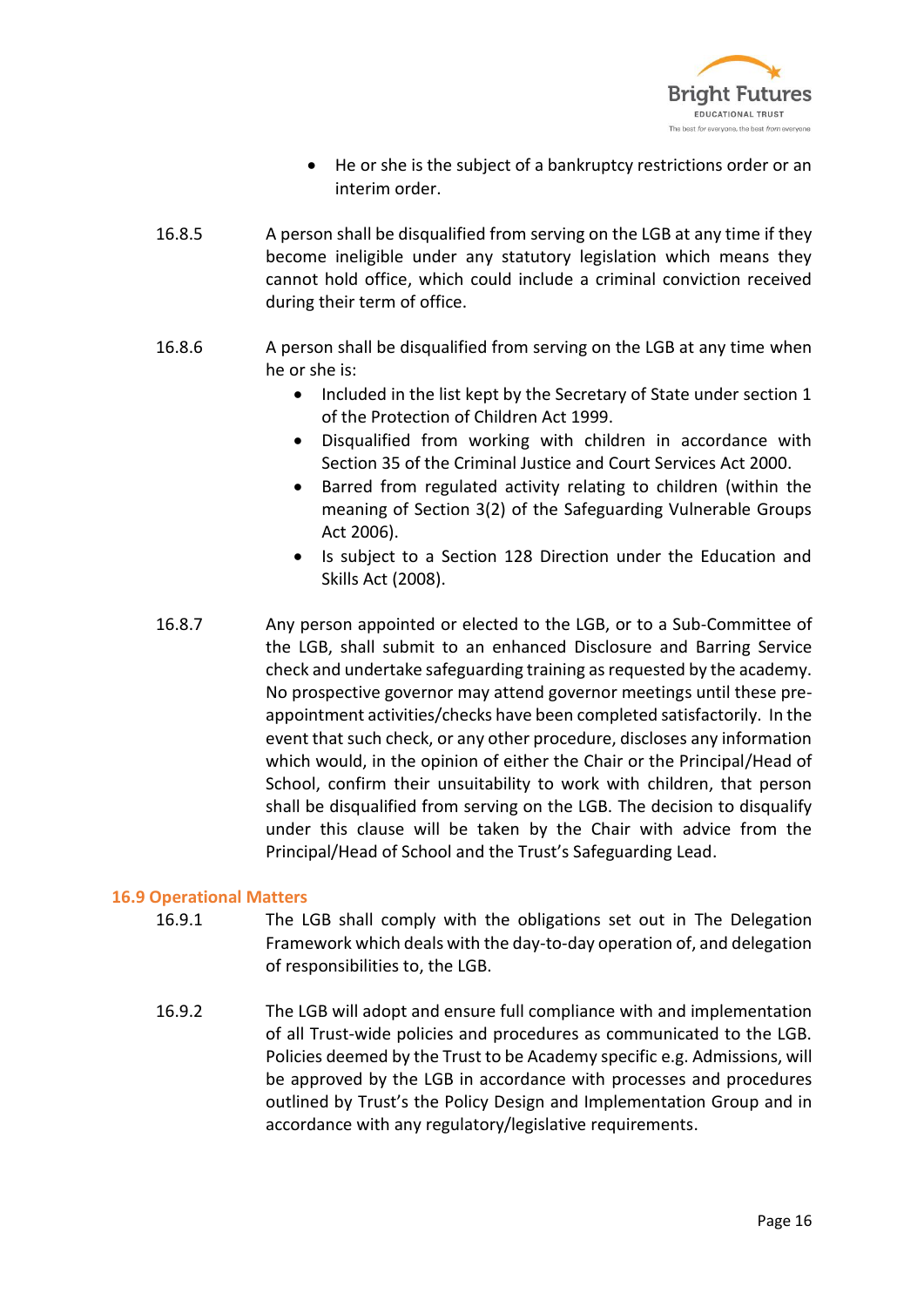

- He or she is the subject of a bankruptcy restrictions order or an interim order.
- 16.8.5 A person shall be disqualified from serving on the LGB at any time if they become ineligible under any statutory legislation which means they cannot hold office, which could include a criminal conviction received during their term of office.
- 16.8.6 A person shall be disqualified from serving on the LGB at any time when he or she is:
	- Included in the list kept by the Secretary of State under section 1 of the Protection of Children Act 1999.
	- Disqualified from working with children in accordance with Section 35 of the Criminal Justice and Court Services Act 2000.
	- Barred from regulated activity relating to children (within the meaning of Section 3(2) of the Safeguarding Vulnerable Groups Act 2006).
	- Is subject to a Section 128 Direction under the Education and Skills Act (2008).
- 16.8.7 Any person appointed or elected to the LGB, or to a Sub-Committee of the LGB, shall submit to an enhanced Disclosure and Barring Service check and undertake safeguarding training as requested by the academy. No prospective governor may attend governor meetings until these preappointment activities/checks have been completed satisfactorily. In the event that such check, or any other procedure, discloses any information which would, in the opinion of either the Chair or the Principal/Head of School, confirm their unsuitability to work with children, that person shall be disqualified from serving on the LGB. The decision to disqualify under this clause will be taken by the Chair with advice from the Principal/Head of School and the Trust's Safeguarding Lead.

#### **16.9 Operational Matters**

- 16.9.1 The LGB shall comply with the obligations set out in The Delegation Framework which deals with the day-to-day operation of, and delegation of responsibilities to, the LGB.
- 16.9.2 The LGB will adopt and ensure full compliance with and implementation of all Trust-wide policies and procedures as communicated to the LGB. Policies deemed by the Trust to be Academy specific e.g. Admissions, will be approved by the LGB in accordance with processes and procedures outlined by Trust's the Policy Design and Implementation Group and in accordance with any regulatory/legislative requirements.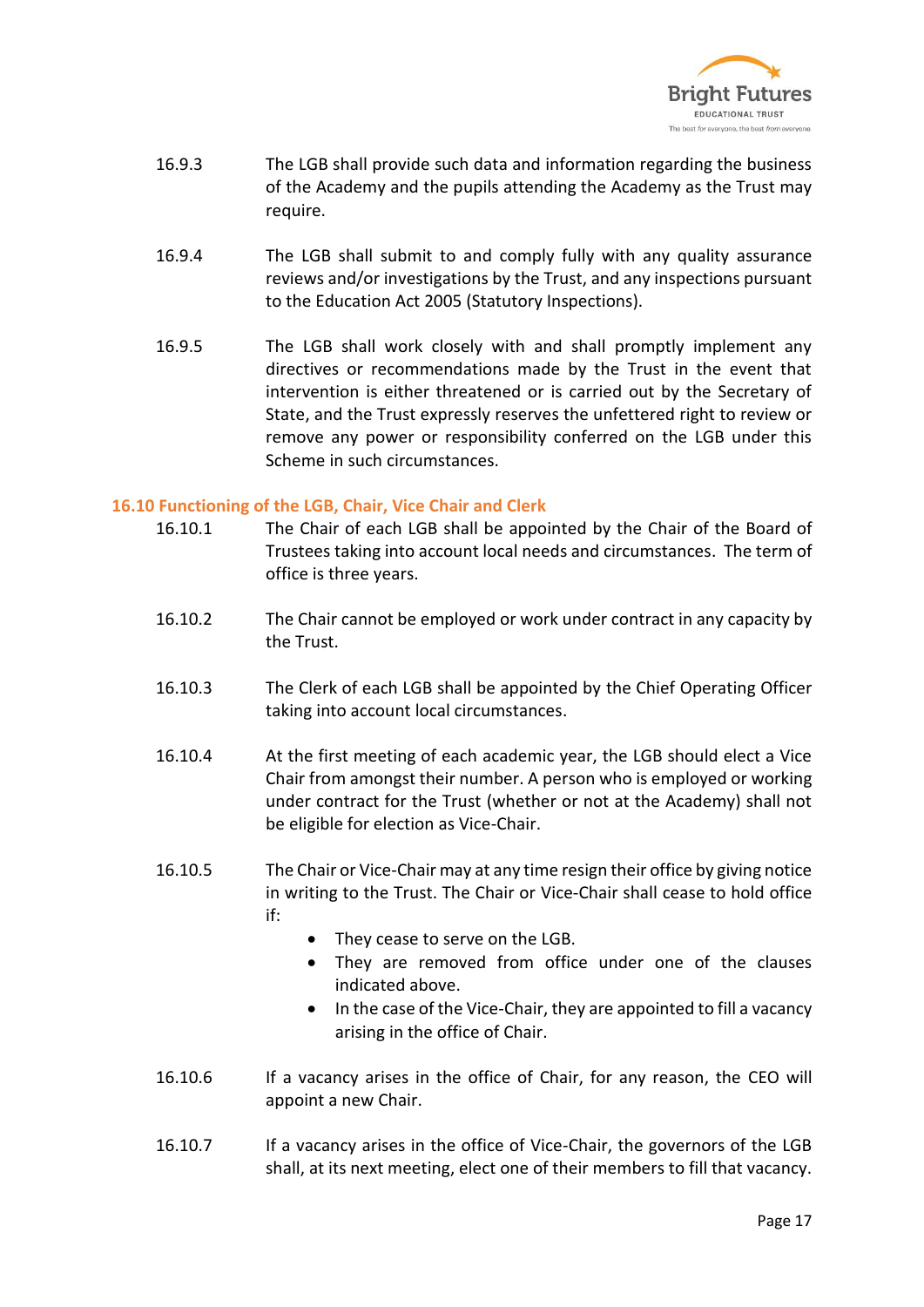

- 16.9.3 The LGB shall provide such data and information regarding the business of the Academy and the pupils attending the Academy as the Trust may require.
- 16.9.4 The LGB shall submit to and comply fully with any quality assurance reviews and/or investigations by the Trust, and any inspections pursuant to the Education Act 2005 (Statutory Inspections).
- 16.9.5 The LGB shall work closely with and shall promptly implement any directives or recommendations made by the Trust in the event that intervention is either threatened or is carried out by the Secretary of State, and the Trust expressly reserves the unfettered right to review or remove any power or responsibility conferred on the LGB under this Scheme in such circumstances.

#### **16.10 Functioning of the LGB, Chair, Vice Chair and Clerk**

- 16.10.1 The Chair of each LGB shall be appointed by the Chair of the Board of Trustees taking into account local needs and circumstances. The term of office is three years.
- 16.10.2 The Chair cannot be employed or work under contract in any capacity by the Trust.
- 16.10.3 The Clerk of each LGB shall be appointed by the Chief Operating Officer taking into account local circumstances.
- 16.10.4 At the first meeting of each academic year, the LGB should elect a Vice Chair from amongst their number. A person who is employed or working under contract for the Trust (whether or not at the Academy) shall not be eligible for election as Vice-Chair.
- 16.10.5 The Chair or Vice-Chair may at any time resign their office by giving notice in writing to the Trust. The Chair or Vice-Chair shall cease to hold office if:
	- They cease to serve on the LGB.
	- They are removed from office under one of the clauses indicated above.
	- In the case of the Vice-Chair, they are appointed to fill a vacancy arising in the office of Chair.
- 16.10.6 If a vacancy arises in the office of Chair, for any reason, the CEO will appoint a new Chair.
- 16.10.7 If a vacancy arises in the office of Vice-Chair, the governors of the LGB shall, at its next meeting, elect one of their members to fill that vacancy.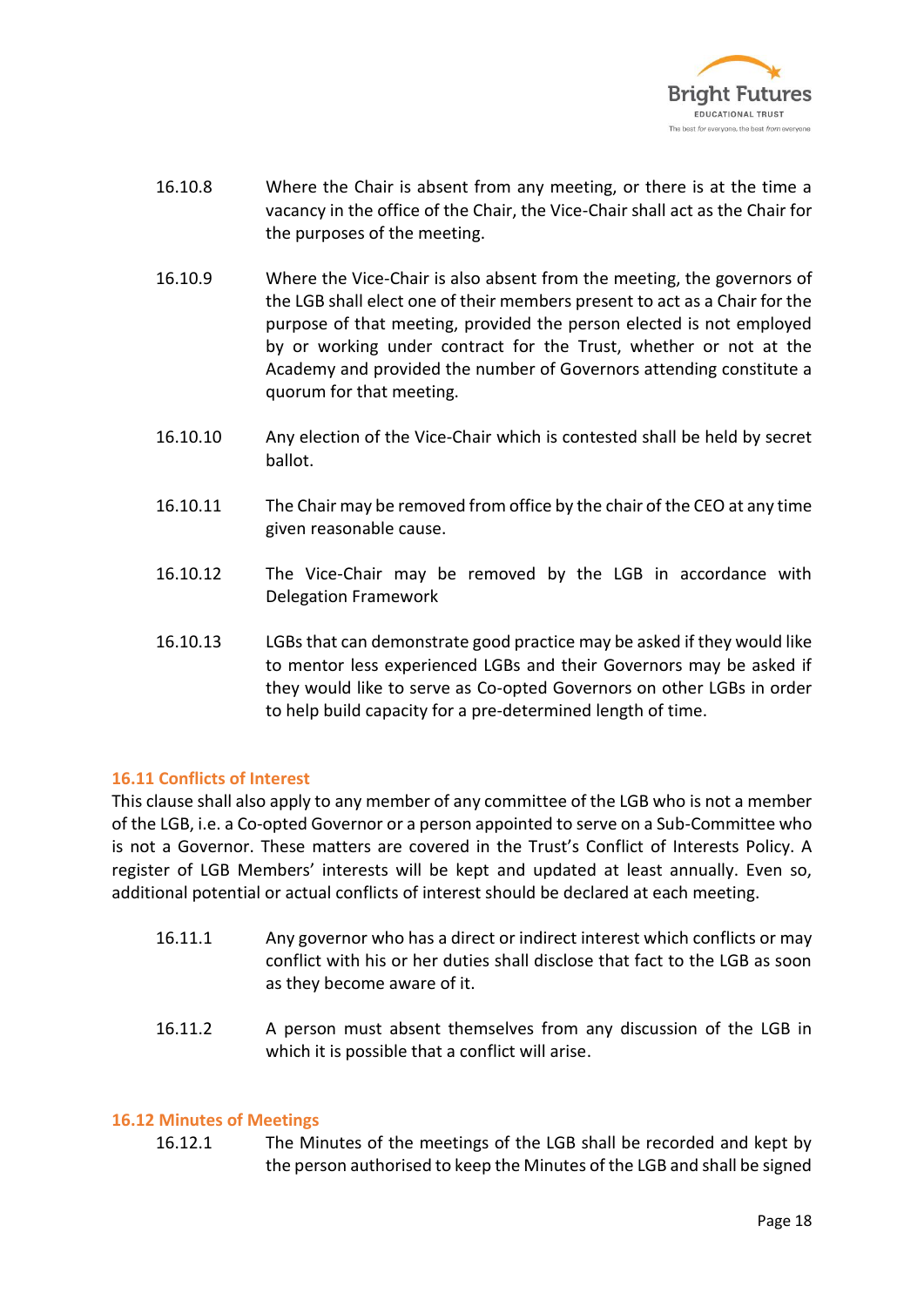

- 16.10.8 Where the Chair is absent from any meeting, or there is at the time a vacancy in the office of the Chair, the Vice-Chair shall act as the Chair for the purposes of the meeting.
- 16.10.9 Where the Vice-Chair is also absent from the meeting, the governors of the LGB shall elect one of their members present to act as a Chair for the purpose of that meeting, provided the person elected is not employed by or working under contract for the Trust, whether or not at the Academy and provided the number of Governors attending constitute a quorum for that meeting.
- 16.10.10 Any election of the Vice-Chair which is contested shall be held by secret ballot.
- 16.10.11 The Chair may be removed from office by the chair of the CEO at any time given reasonable cause.
- 16.10.12 The Vice-Chair may be removed by the LGB in accordance with Delegation Framework
- 16.10.13 LGBs that can demonstrate good practice may be asked if they would like to mentor less experienced LGBs and their Governors may be asked if they would like to serve as Co-opted Governors on other LGBs in order to help build capacity for a pre-determined length of time.

#### **16.11 Conflicts of Interest**

This clause shall also apply to any member of any committee of the LGB who is not a member of the LGB, i.e. a Co-opted Governor or a person appointed to serve on a Sub-Committee who is not a Governor. These matters are covered in the Trust's Conflict of Interests Policy. A register of LGB Members' interests will be kept and updated at least annually. Even so, additional potential or actual conflicts of interest should be declared at each meeting.

- 16.11.1 Any governor who has a direct or indirect interest which conflicts or may conflict with his or her duties shall disclose that fact to the LGB as soon as they become aware of it.
- 16.11.2 A person must absent themselves from any discussion of the LGB in which it is possible that a conflict will arise.

#### **16.12 Minutes of Meetings**

16.12.1 The Minutes of the meetings of the LGB shall be recorded and kept by the person authorised to keep the Minutes of the LGB and shall be signed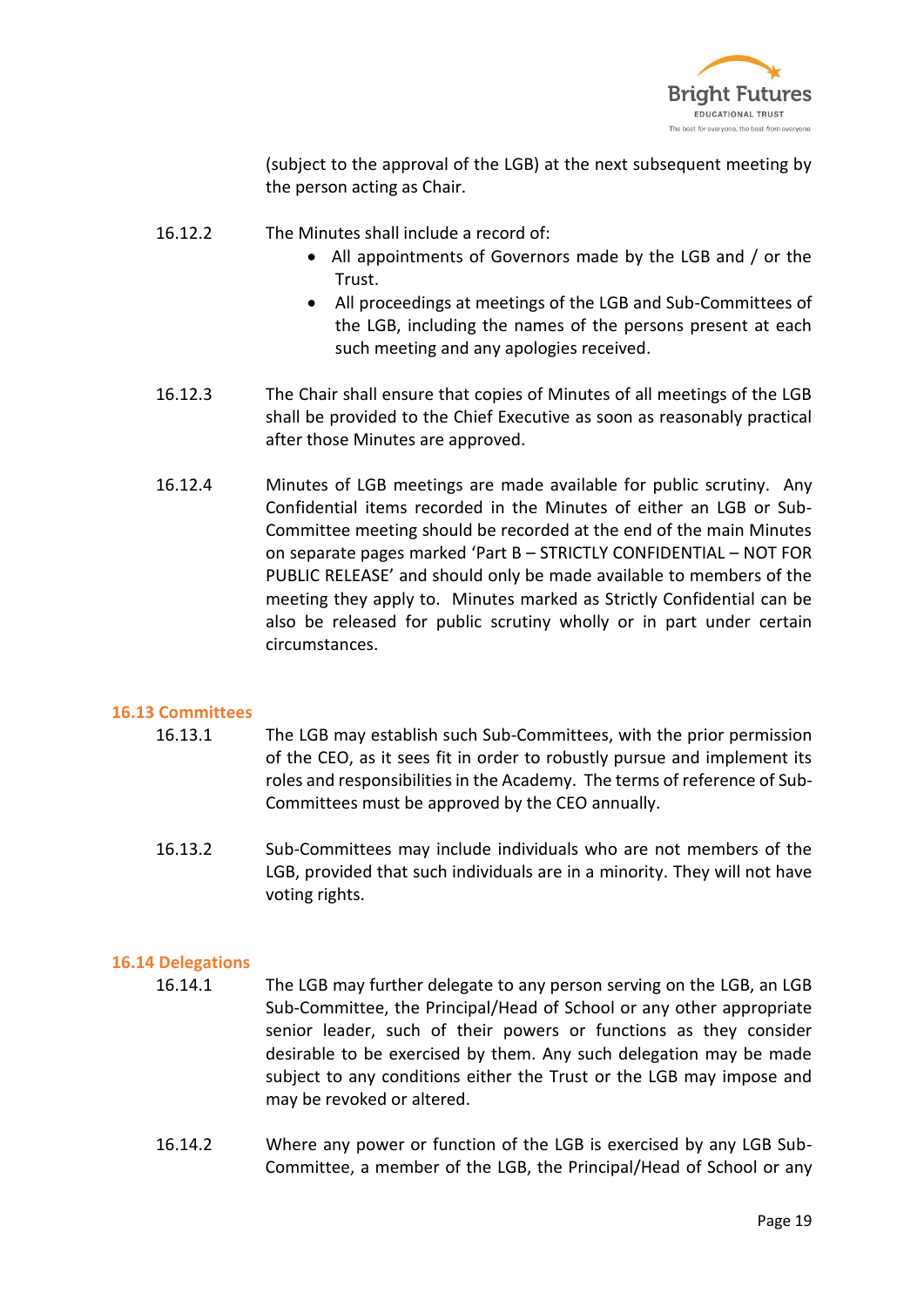

(subject to the approval of the LGB) at the next subsequent meeting by the person acting as Chair.

- 16.12.2 The Minutes shall include a record of:
	- All appointments of Governors made by the LGB and / or the Trust.
	- All proceedings at meetings of the LGB and Sub-Committees of the LGB, including the names of the persons present at each such meeting and any apologies received.
- 16.12.3 The Chair shall ensure that copies of Minutes of all meetings of the LGB shall be provided to the Chief Executive as soon as reasonably practical after those Minutes are approved.
- 16.12.4 Minutes of LGB meetings are made available for public scrutiny. Any Confidential items recorded in the Minutes of either an LGB or Sub-Committee meeting should be recorded at the end of the main Minutes on separate pages marked 'Part B – STRICTLY CONFIDENTIAL – NOT FOR PUBLIC RELEASE' and should only be made available to members of the meeting they apply to. Minutes marked as Strictly Confidential can be also be released for public scrutiny wholly or in part under certain circumstances.

#### **16.13 Committees**

- 16.13.1 The LGB may establish such Sub-Committees, with the prior permission of the CEO, as it sees fit in order to robustly pursue and implement its roles and responsibilities in the Academy. The terms of reference of Sub-Committees must be approved by the CEO annually.
- 16.13.2 Sub-Committees may include individuals who are not members of the LGB, provided that such individuals are in a minority. They will not have voting rights.

#### **16.14 Delegations**

- 16.14.1 The LGB may further delegate to any person serving on the LGB, an LGB Sub-Committee, the Principal/Head of School or any other appropriate senior leader, such of their powers or functions as they consider desirable to be exercised by them. Any such delegation may be made subject to any conditions either the Trust or the LGB may impose and may be revoked or altered.
- 16.14.2 Where any power or function of the LGB is exercised by any LGB Sub-Committee, a member of the LGB, the Principal/Head of School or any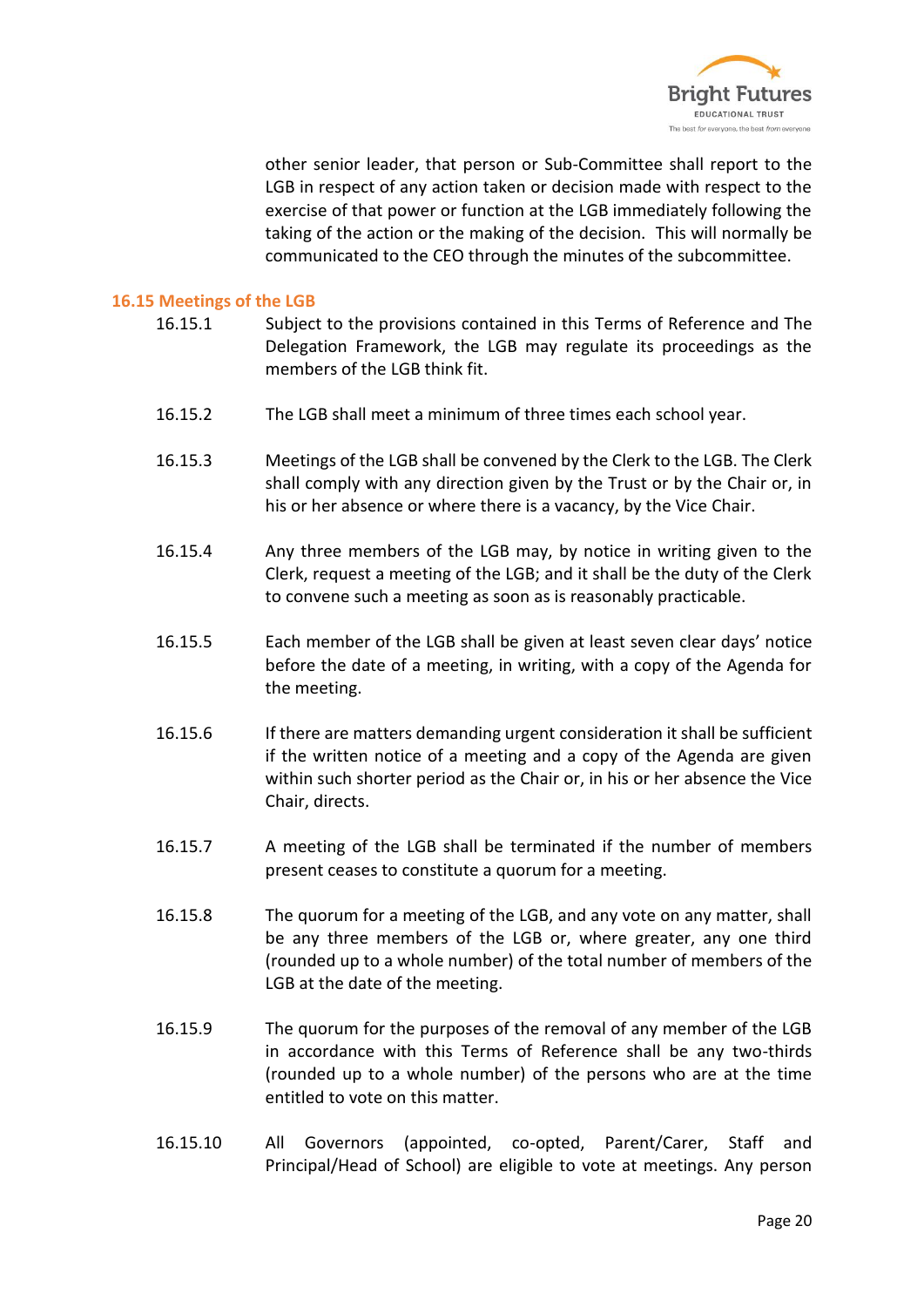

other senior leader, that person or Sub-Committee shall report to the LGB in respect of any action taken or decision made with respect to the exercise of that power or function at the LGB immediately following the taking of the action or the making of the decision. This will normally be communicated to the CEO through the minutes of the subcommittee.

#### **16.15 Meetings of the LGB**

- 16.15.1 Subject to the provisions contained in this Terms of Reference and The Delegation Framework, the LGB may regulate its proceedings as the members of the LGB think fit.
- 16.15.2 The LGB shall meet a minimum of three times each school year.
- 16.15.3 Meetings of the LGB shall be convened by the Clerk to the LGB. The Clerk shall comply with any direction given by the Trust or by the Chair or, in his or her absence or where there is a vacancy, by the Vice Chair.
- 16.15.4 Any three members of the LGB may, by notice in writing given to the Clerk, request a meeting of the LGB; and it shall be the duty of the Clerk to convene such a meeting as soon as is reasonably practicable.
- 16.15.5 Each member of the LGB shall be given at least seven clear days' notice before the date of a meeting, in writing, with a copy of the Agenda for the meeting.
- 16.15.6 If there are matters demanding urgent consideration it shall be sufficient if the written notice of a meeting and a copy of the Agenda are given within such shorter period as the Chair or, in his or her absence the Vice Chair, directs.
- 16.15.7 A meeting of the LGB shall be terminated if the number of members present ceases to constitute a quorum for a meeting.
- 16.15.8 The quorum for a meeting of the LGB, and any vote on any matter, shall be any three members of the LGB or, where greater, any one third (rounded up to a whole number) of the total number of members of the LGB at the date of the meeting.
- 16.15.9 The quorum for the purposes of the removal of any member of the LGB in accordance with this Terms of Reference shall be any two-thirds (rounded up to a whole number) of the persons who are at the time entitled to vote on this matter.
- 16.15.10 All Governors (appointed, co-opted, Parent/Carer, Staff and Principal/Head of School) are eligible to vote at meetings. Any person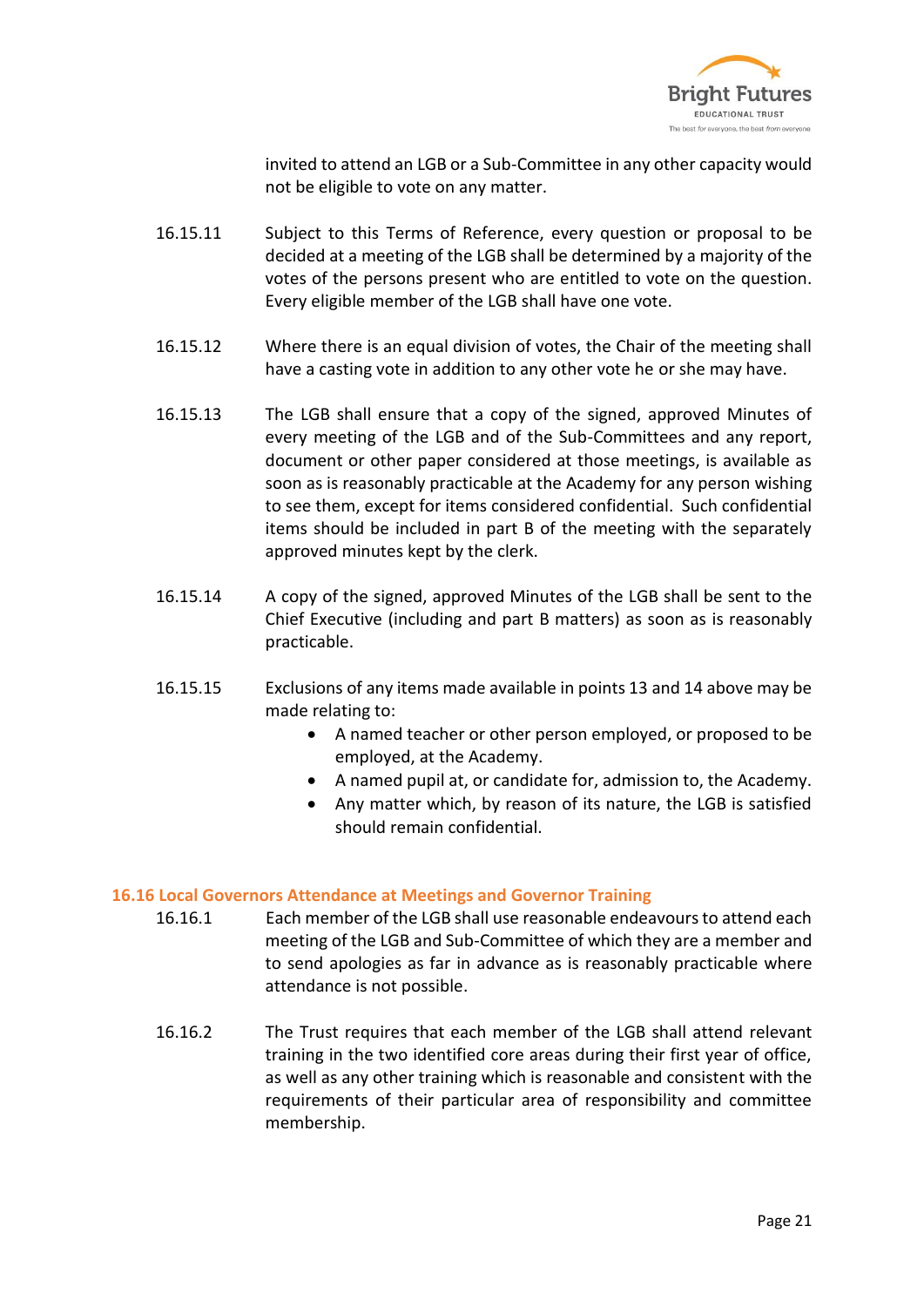

invited to attend an LGB or a Sub-Committee in any other capacity would not be eligible to vote on any matter.

- 16.15.11 Subject to this Terms of Reference, every question or proposal to be decided at a meeting of the LGB shall be determined by a majority of the votes of the persons present who are entitled to vote on the question. Every eligible member of the LGB shall have one vote.
- 16.15.12 Where there is an equal division of votes, the Chair of the meeting shall have a casting vote in addition to any other vote he or she may have.
- 16.15.13 The LGB shall ensure that a copy of the signed, approved Minutes of every meeting of the LGB and of the Sub-Committees and any report, document or other paper considered at those meetings, is available as soon as is reasonably practicable at the Academy for any person wishing to see them, except for items considered confidential. Such confidential items should be included in part B of the meeting with the separately approved minutes kept by the clerk.
- 16.15.14 A copy of the signed, approved Minutes of the LGB shall be sent to the Chief Executive (including and part B matters) as soon as is reasonably practicable.
- 16.15.15 Exclusions of any items made available in points 13 and 14 above may be made relating to:
	- A named teacher or other person employed, or proposed to be employed, at the Academy.
	- A named pupil at, or candidate for, admission to, the Academy.
	- Any matter which, by reason of its nature, the LGB is satisfied should remain confidential.

#### **16.16 Local Governors Attendance at Meetings and Governor Training**

- 16.16.1 Each member of the LGB shall use reasonable endeavours to attend each meeting of the LGB and Sub-Committee of which they are a member and to send apologies as far in advance as is reasonably practicable where attendance is not possible.
- 16.16.2 The Trust requires that each member of the LGB shall attend relevant training in the two identified core areas during their first year of office, as well as any other training which is reasonable and consistent with the requirements of their particular area of responsibility and committee membership.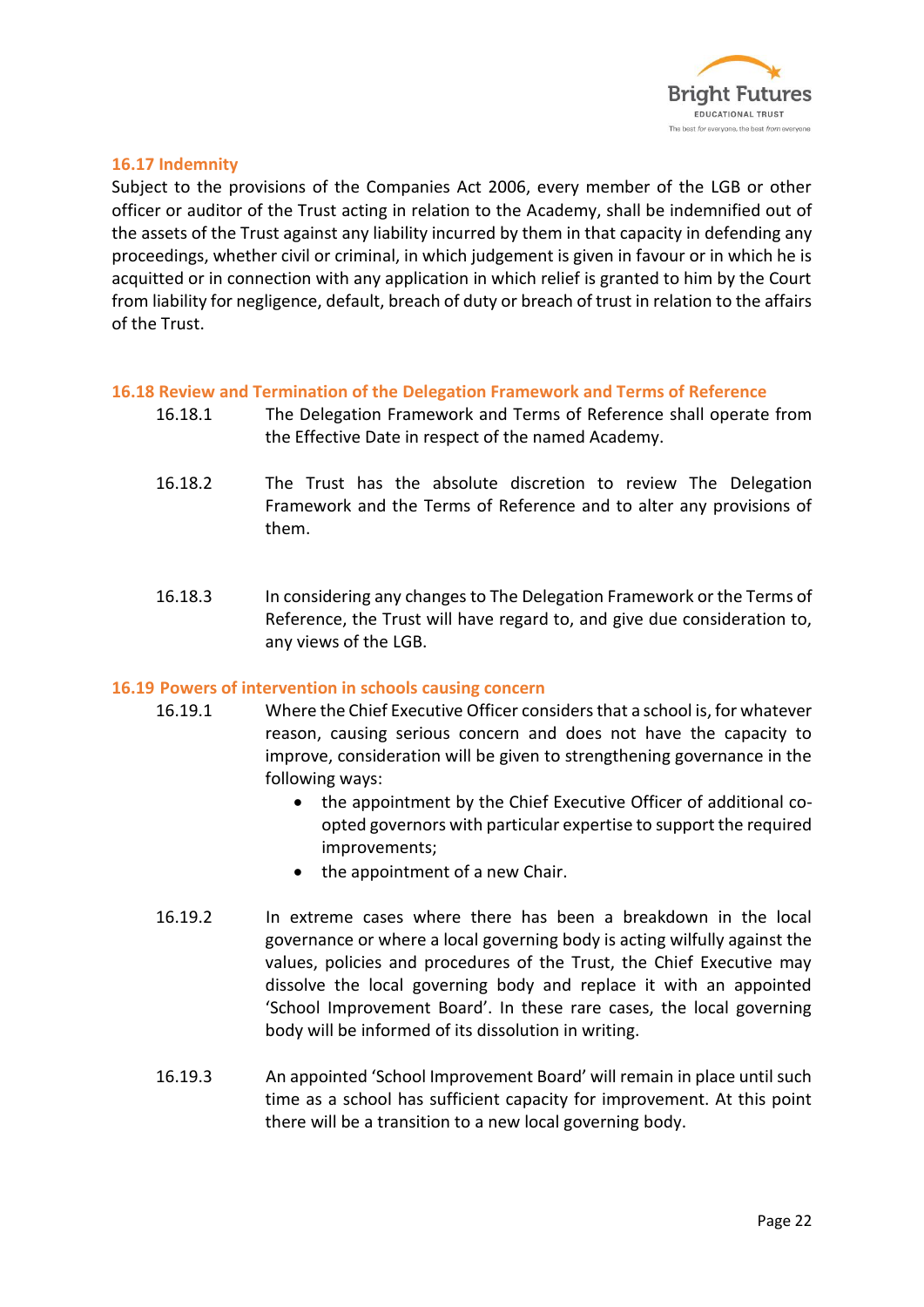

#### **16.17 Indemnity**

Subject to the provisions of the Companies Act 2006, every member of the LGB or other officer or auditor of the Trust acting in relation to the Academy, shall be indemnified out of the assets of the Trust against any liability incurred by them in that capacity in defending any proceedings, whether civil or criminal, in which judgement is given in favour or in which he is acquitted or in connection with any application in which relief is granted to him by the Court from liability for negligence, default, breach of duty or breach of trust in relation to the affairs of the Trust.

#### **16.18 Review and Termination of the Delegation Framework and Terms of Reference**

- 16.18.1 The Delegation Framework and Terms of Reference shall operate from the Effective Date in respect of the named Academy.
- 16.18.2 The Trust has the absolute discretion to review The Delegation Framework and the Terms of Reference and to alter any provisions of them.
- 16.18.3 In considering any changes to The Delegation Framework or the Terms of Reference, the Trust will have regard to, and give due consideration to, any views of the LGB.

#### **16.19 Powers of intervention in schools causing concern**

- 16.19.1 Where the Chief Executive Officer considers that a school is, for whatever reason, causing serious concern and does not have the capacity to improve, consideration will be given to strengthening governance in the following ways:
	- the appointment by the Chief Executive Officer of additional coopted governors with particular expertise to support the required improvements;
	- the appointment of a new Chair.
- 16.19.2 In extreme cases where there has been a breakdown in the local governance or where a local governing body is acting wilfully against the values, policies and procedures of the Trust, the Chief Executive may dissolve the local governing body and replace it with an appointed 'School Improvement Board'. In these rare cases, the local governing body will be informed of its dissolution in writing.
- 16.19.3 An appointed 'School Improvement Board' will remain in place until such time as a school has sufficient capacity for improvement. At this point there will be a transition to a new local governing body.